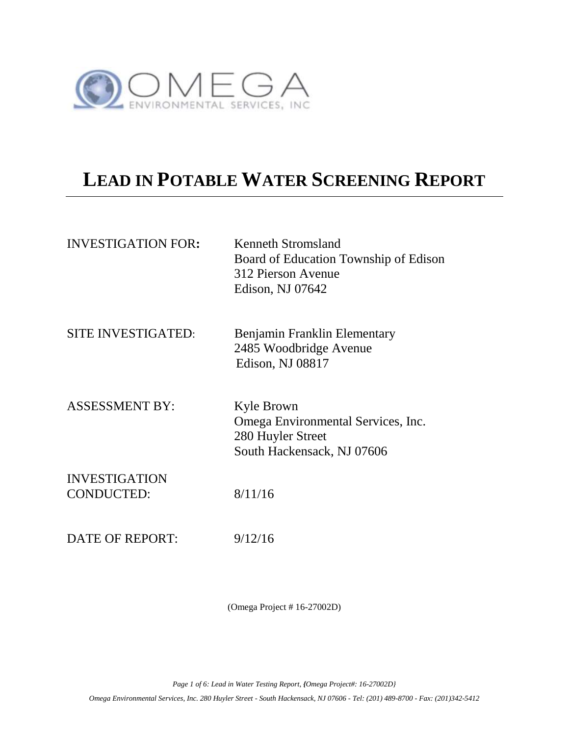

# **LEAD IN POTABLE WATER SCREENING REPORT**

| <b>INVESTIGATION FOR:</b>                 | Kenneth Stromsland<br>Board of Education Township of Edison<br>312 Pierson Avenue<br>Edison, NJ 07642 |
|-------------------------------------------|-------------------------------------------------------------------------------------------------------|
| <b>SITE INVESTIGATED:</b>                 | Benjamin Franklin Elementary<br>2485 Woodbridge Avenue<br>Edison, NJ 08817                            |
| <b>ASSESSMENT BY:</b>                     | Kyle Brown<br>Omega Environmental Services, Inc.<br>280 Huyler Street<br>South Hackensack, NJ 07606   |
| <b>INVESTIGATION</b><br><b>CONDUCTED:</b> | 8/11/16                                                                                               |
| DATE OF REPORT:                           | 9/12/16                                                                                               |

(Omega Project # 16-27002D)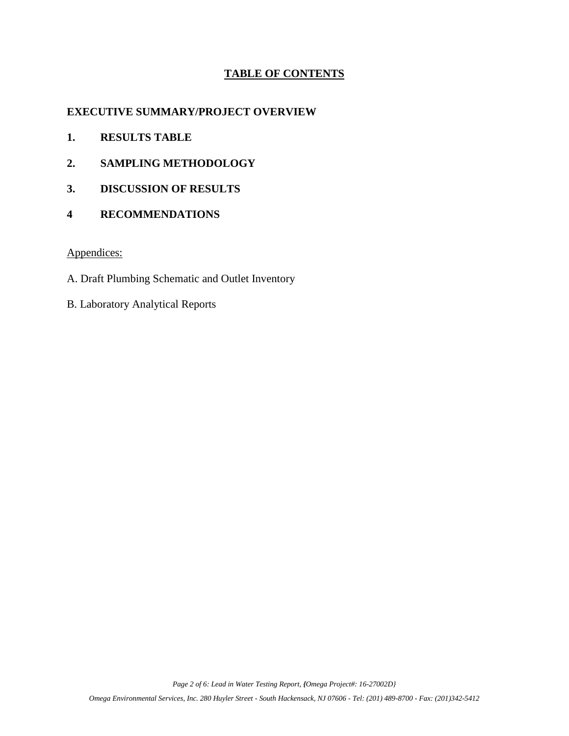# **TABLE OF CONTENTS**

# **EXECUTIVE SUMMARY/PROJECT OVERVIEW**

- **1. RESULTS TABLE**
- **2. SAMPLING METHODOLOGY**
- **3. DISCUSSION OF RESULTS**
- **4 RECOMMENDATIONS**

# Appendices:

- A. Draft Plumbing Schematic and Outlet Inventory
- B. Laboratory Analytical Reports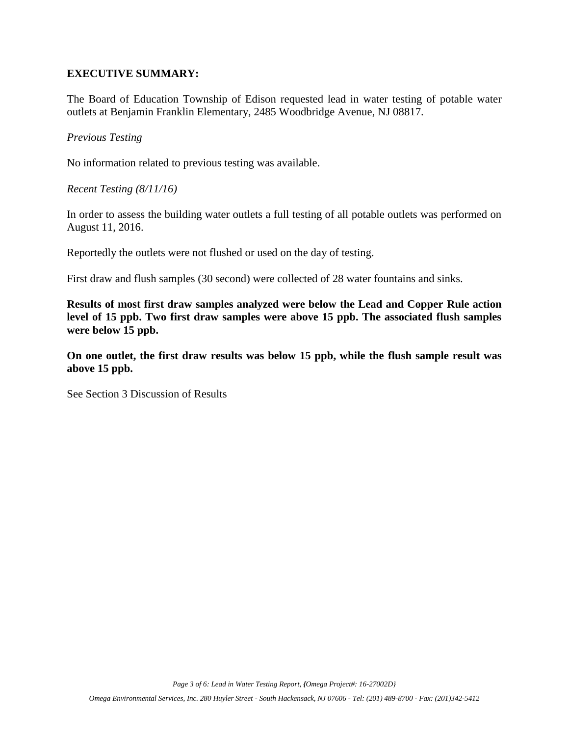# **EXECUTIVE SUMMARY:**

The Board of Education Township of Edison requested lead in water testing of potable water outlets at Benjamin Franklin Elementary, 2485 Woodbridge Avenue, NJ 08817.

# *Previous Testing*

No information related to previous testing was available.

*Recent Testing (8/11/16)*

In order to assess the building water outlets a full testing of all potable outlets was performed on August 11, 2016.

Reportedly the outlets were not flushed or used on the day of testing.

First draw and flush samples (30 second) were collected of 28 water fountains and sinks.

**Results of most first draw samples analyzed were below the Lead and Copper Rule action level of 15 ppb. Two first draw samples were above 15 ppb. The associated flush samples were below 15 ppb.** 

**On one outlet, the first draw results was below 15 ppb, while the flush sample result was above 15 ppb.**

See Section 3 Discussion of Results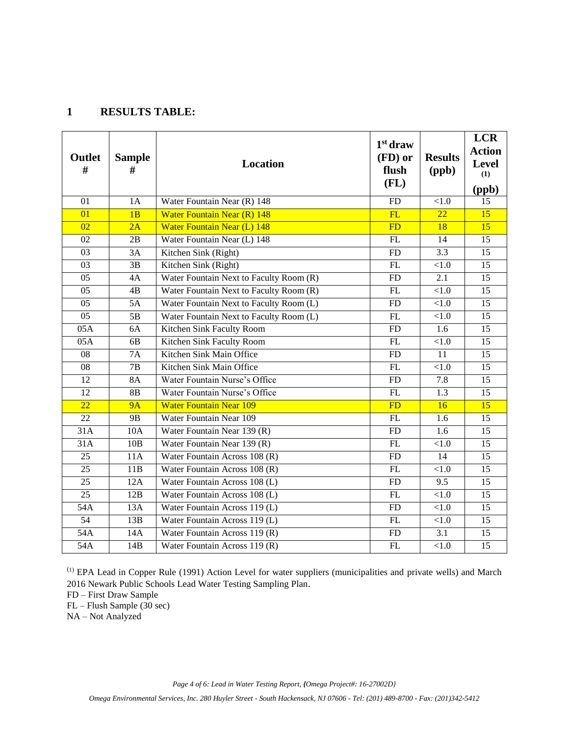# **1 RESULTS TABLE:**

| Outlet<br>#     | <b>Sample</b><br># | Location                                | $1st$ draw<br>(FD) or<br>flush<br>(FL) | <b>Results</b><br>(ppb) | <b>LCR</b><br><b>Action</b><br><b>Level</b><br>(1)<br>(ppb) |
|-----------------|--------------------|-----------------------------------------|----------------------------------------|-------------------------|-------------------------------------------------------------|
| 01              | 1A                 | Water Fountain Near (R) 148             | <b>FD</b>                              | $<1.0$                  | 15                                                          |
| 01              | 1B                 | Water Fountain Near (R) 148             | FL                                     | 22                      | $\overline{15}$                                             |
| 02              | 2A                 | <b>Water Fountain Near (L) 148</b>      | <b>FD</b>                              | 18                      | 15                                                          |
| 02              | 2B                 | Water Fountain Near (L) 148             | FL                                     | 14                      | 15                                                          |
| $\overline{03}$ | 3A                 | Kitchen Sink (Right)                    | <b>FD</b>                              | $\overline{3.3}$        | $\overline{15}$                                             |
| 03              | 3B                 | Kitchen Sink (Right)                    | FL                                     | $<1.0$                  | 15                                                          |
| 05              | 4A                 | Water Fountain Next to Faculty Room (R) | <b>FD</b>                              | 2.1                     | 15                                                          |
| 05              | 4B                 | Water Fountain Next to Faculty Room (R) | FL                                     | < 1.0                   | 15                                                          |
| 05              | 5A                 | Water Fountain Next to Faculty Room (L) | <b>FD</b>                              | < 1.0                   | 15                                                          |
| 05              | 5B                 | Water Fountain Next to Faculty Room (L) | FL                                     | < 1.0                   | 15                                                          |
| 05A             | 6A                 | Kitchen Sink Faculty Room               | <b>FD</b>                              | 1.6                     | 15                                                          |
| 05A             | 6 <sub>B</sub>     | Kitchen Sink Faculty Room               | ${\rm FL}$                             | < 1.0                   | 15                                                          |
| 08              | <b>7A</b>          | Kitchen Sink Main Office                | FD                                     | 11                      | 15                                                          |
| 08              | 7B                 | Kitchen Sink Main Office                | FL                                     | < 1.0                   | 15                                                          |
| 12              | 8A                 | Water Fountain Nurse's Office           | <b>FD</b>                              | 7.8                     | 15                                                          |
| 12              | 8B                 | Water Fountain Nurse's Office           | FL                                     | 1.3                     | 15                                                          |
| $\overline{22}$ | 9A                 | <b>Water Fountain Near 109</b>          | <b>FD</b>                              | 16                      | $\overline{15}$                                             |
| 22              | 9 <sub>B</sub>     | Water Fountain Near 109                 | FL                                     | 1.6                     | 15                                                          |
| 31A             | 10A                | Water Fountain Near 139 (R)             | <b>FD</b>                              | 1.6                     | 15                                                          |
| 31A             | 10B                | Water Fountain Near 139 (R)             | FL                                     | < 1.0                   | 15                                                          |
| 25              | 11A                | Water Fountain Across 108 (R)           | <b>FD</b>                              | 14                      | 15                                                          |
| 25              | 11B                | Water Fountain Across 108 (R)           | FL                                     | < 1.0                   | 15                                                          |
| 25              | 12A                | Water Fountain Across 108 (L)           | <b>FD</b>                              | 9.5                     | 15                                                          |
| 25              | 12B                | Water Fountain Across 108 (L)           | FL                                     | $<1.0$                  | 15                                                          |
| 54A             | 13A                | Water Fountain Across 119 (L)           | <b>FD</b>                              | < 1.0                   | $\overline{15}$                                             |
| 54              | 13B                | Water Fountain Across 119 (L)           | FL                                     | $<1.0$                  | 15                                                          |
| 54A             | 14A                | Water Fountain Across 119 (R)           | FD                                     | 3.1                     | 15                                                          |
| 54A             | 14B                | Water Fountain Across 119 (R)           | FL                                     | $<1.0$                  | 15                                                          |

(1) EPA Lead in Copper Rule (1991) Action Level for water suppliers (municipalities and private wells) and March 2016 Newark Public Schools Lead Water Testing Sampling Plan.

FL – Flush Sample (30 sec)

NA – Not Analyzed

FD – First Draw Sample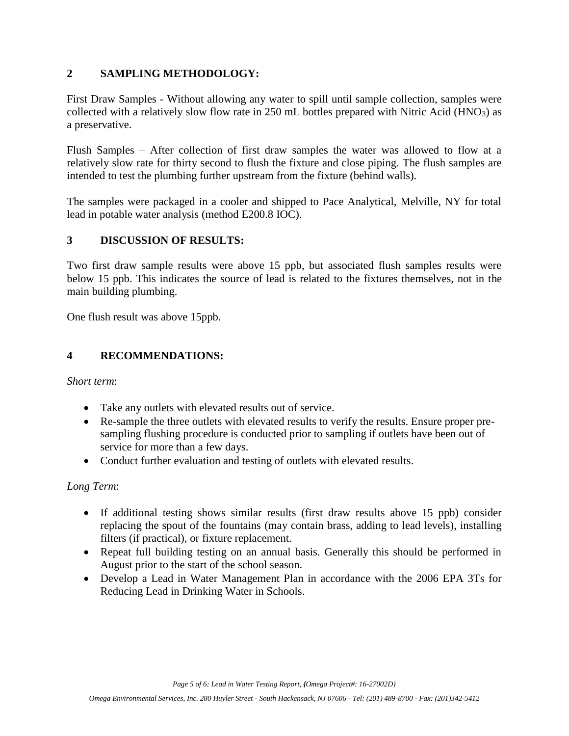# **2 SAMPLING METHODOLOGY:**

First Draw Samples - Without allowing any water to spill until sample collection, samples were collected with a relatively slow flow rate in  $250$  mL bottles prepared with Nitric Acid (HNO<sub>3</sub>) as a preservative.

Flush Samples – After collection of first draw samples the water was allowed to flow at a relatively slow rate for thirty second to flush the fixture and close piping. The flush samples are intended to test the plumbing further upstream from the fixture (behind walls).

The samples were packaged in a cooler and shipped to Pace Analytical, Melville, NY for total lead in potable water analysis (method E200.8 IOC).

# **3 DISCUSSION OF RESULTS:**

Two first draw sample results were above 15 ppb, but associated flush samples results were below 15 ppb. This indicates the source of lead is related to the fixtures themselves, not in the main building plumbing.

One flush result was above 15ppb.

# **4 RECOMMENDATIONS:**

*Short term*:

- Take any outlets with elevated results out of service.
- Re-sample the three outlets with elevated results to verify the results. Ensure proper presampling flushing procedure is conducted prior to sampling if outlets have been out of service for more than a few days.
- Conduct further evaluation and testing of outlets with elevated results.

# *Long Term*:

- If additional testing shows similar results (first draw results above 15 ppb) consider replacing the spout of the fountains (may contain brass, adding to lead levels), installing filters (if practical), or fixture replacement.
- Repeat full building testing on an annual basis. Generally this should be performed in August prior to the start of the school season.
- Develop a Lead in Water Management Plan in accordance with the 2006 EPA 3Ts for Reducing Lead in Drinking Water in Schools.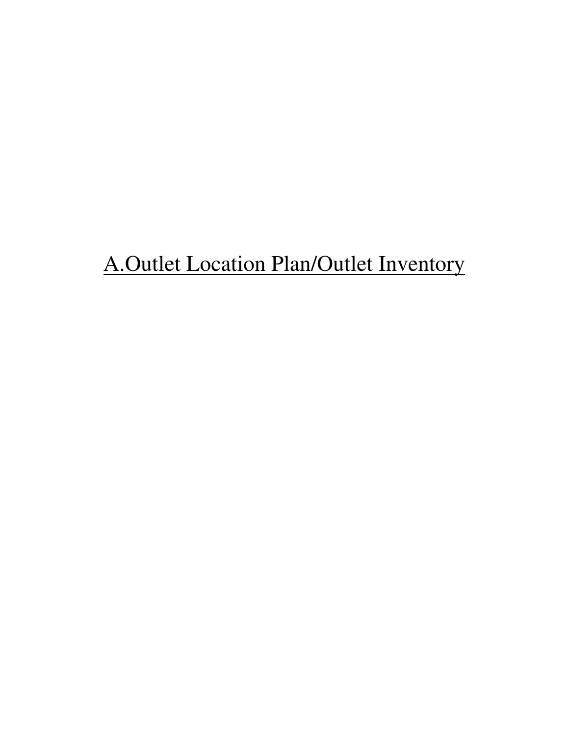# A.Outlet Location Plan/Outlet Inventory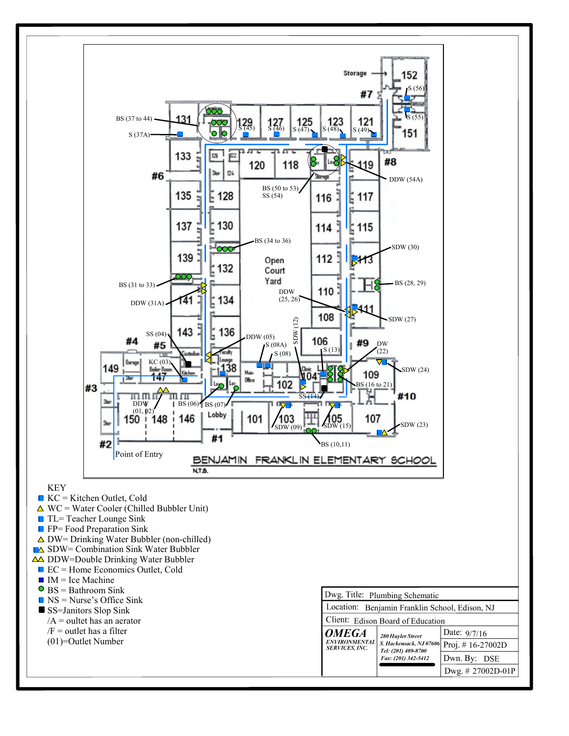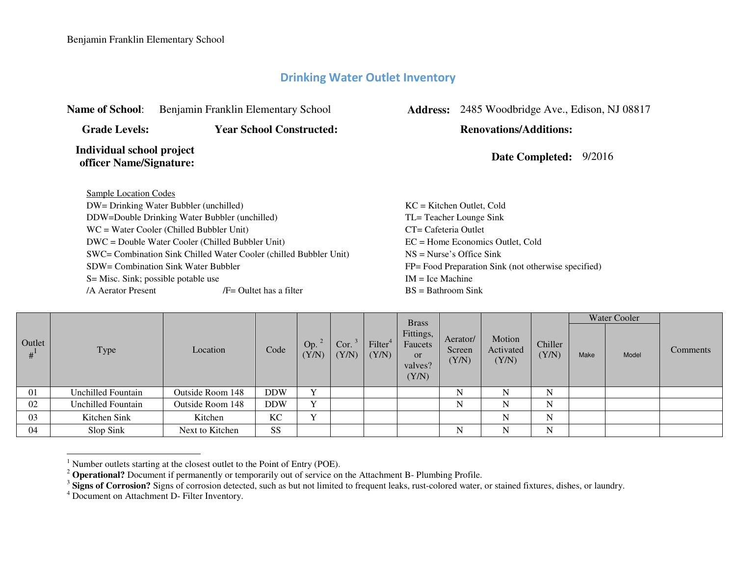# **Drinking Water Outlet Inventory**

| <b>Name of School:</b>                               | Benjamin Franklin Elementary School                               | <b>Address:</b> 2485 Woodbridge Ave., Edison, NJ 08817 |
|------------------------------------------------------|-------------------------------------------------------------------|--------------------------------------------------------|
| <b>Grade Levels:</b>                                 | <b>Year School Constructed:</b>                                   | <b>Renovations/Additions:</b>                          |
| Individual school project<br>officer Name/Signature: |                                                                   | <b>Date Completed:</b><br>9/2016                       |
| <b>Sample Location Codes</b>                         |                                                                   |                                                        |
|                                                      | DW= Drinking Water Bubbler (unchilled)                            | $KC = Kitchen Outlet, Cold$                            |
|                                                      | DDW=Double Drinking Water Bubbler (unchilled)                     | TL= Teacher Lounge Sink                                |
|                                                      | $WC = Water Cooler (Child Bubble Unit)$                           | CT= Cafeteria Outlet                                   |
|                                                      | $DWC = Double Water Cooler (Child Bubble Unit)$                   | $EC =$ Home Economics Outlet, Cold                     |
|                                                      | SWC= Combination Sink Chilled Water Cooler (chilled Bubbler Unit) | $NS = Nurse's Office Sink$                             |
|                                                      | SDW= Combination Sink Water Bubbler                               | FP= Food Preparation Sink (not otherwise specified)    |
| S = Misc. Sink; possible potable use                 |                                                                   | $IM = Ice Machine$                                     |
| /A Aerator Present                                   | $/F =$ Oultet has a filter                                        | $BS = Bathroom Sink$                                   |

|                             |                           |                  |            |              |               |                              | <b>Brass</b>                                          |                             |                              |                  |      | <b>Water Cooler</b> |          |
|-----------------------------|---------------------------|------------------|------------|--------------|---------------|------------------------------|-------------------------------------------------------|-----------------------------|------------------------------|------------------|------|---------------------|----------|
| Outlet<br>$\#$ <sup>1</sup> | Type                      | Location         | Code       | Op.<br>(Y/N) | Cor.<br>(Y/N) | Filter <sup>4</sup><br>(Y/N) | Fittings,<br>Faucets<br><b>or</b><br>valves?<br>(Y/N) | Aerator/<br>Screen<br>(Y/N) | Motion<br>Activated<br>(Y/N) | Chiller<br>(Y/N) | Make | Model               | Comments |
| 01                          | <b>Unchilled Fountain</b> | Outside Room 148 | <b>DDW</b> | $\mathbf{v}$ |               |                              |                                                       |                             | N                            | N                |      |                     |          |
| 02                          | Unchilled Fountain        | Outside Room 148 | <b>DDW</b> | $\mathbf{x}$ |               |                              |                                                       | N                           | N                            | N                |      |                     |          |
| 03                          | Kitchen Sink              | Kitchen          | KC         |              |               |                              |                                                       |                             | N                            | N                |      |                     |          |
| 04                          | Slop Sink                 | Next to Kitchen  | SS         |              |               |                              |                                                       | N                           | N                            | N                |      |                     |          |

<sup>&</sup>lt;sup>1</sup> Number outlets starting at the closest outlet to the Point of Entry (POE).<br><sup>2</sup> **Operational?** Document if permanently or temporarily out of service on the Attachment B- Plumbing Profile.<br><sup>3</sup> **Signs of Corrosion?** Sign

<sup>4</sup> Document on Attachment D- Filter Inventory.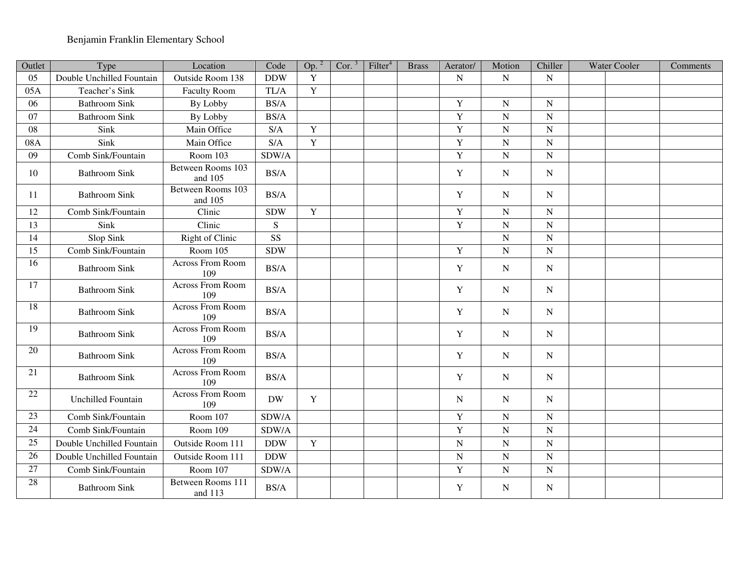| Outlet          | Type                      | Location                       | Code       | Op. $2$     | Cor. | Filter <sup>4</sup> | <b>Brass</b> | Aerator/    | Motion         | Chiller            | <b>Water Cooler</b> | Comments |
|-----------------|---------------------------|--------------------------------|------------|-------------|------|---------------------|--------------|-------------|----------------|--------------------|---------------------|----------|
| 05              | Double Unchilled Fountain | Outside Room 138               | <b>DDW</b> | $\mathbf Y$ |      |                     |              | ${\bf N}$   | ${\bf N}$      | ${\bf N}$          |                     |          |
| 05A             | Teacher's Sink            | <b>Faculty Room</b>            | TL/A       | $\mathbf Y$ |      |                     |              |             |                |                    |                     |          |
| 06              | <b>Bathroom Sink</b>      | By Lobby                       | BS/A       |             |      |                     |              | $\mathbf Y$ | ${\bf N}$      | ${\bf N}$          |                     |          |
| 07              | <b>Bathroom Sink</b>      | By Lobby                       | BS/A       |             |      |                     |              | $\mathbf Y$ | ${\bf N}$      | ${\bf N}$          |                     |          |
| 08              | Sink                      | Main Office                    | S/A        | Y           |      |                     |              | Y           | ${\bf N}$      | ${\bf N}$          |                     |          |
| 08A             | Sink                      | Main Office                    | S/A        | $\mathbf Y$ |      |                     |              | $\mathbf Y$ | $\mathbf N$    | ${\bf N}$          |                     |          |
| 09              | Comb Sink/Fountain        | Room 103                       | SDW/A      |             |      |                     |              | $\mathbf Y$ | ${\bf N}$      | $\mathbf N$        |                     |          |
| 10              | <b>Bathroom Sink</b>      | Between Rooms 103<br>and 105   | $\rm BS/A$ |             |      |                     |              | $\mathbf Y$ | ${\bf N}$      | $\mathbf N$        |                     |          |
| 11              | <b>Bathroom Sink</b>      | Between Rooms 103<br>and 105   | BS/A       |             |      |                     |              | Y           | ${\bf N}$      | $\mathbf N$        |                     |          |
| 12              | Comb Sink/Fountain        | Clinic                         | <b>SDW</b> | $\mathbf Y$ |      |                     |              | $\mathbf Y$ | ${\bf N}$      | ${\bf N}$          |                     |          |
| 13              | Sink                      | Clinic                         | ${\bf S}$  |             |      |                     |              | $\mathbf Y$ | ${\bf N}$      | ${\bf N}$          |                     |          |
| 14              | Slop Sink                 | Right of Clinic                | <b>SS</b>  |             |      |                     |              |             | ${\bf N}$      | $\mathbf N$        |                     |          |
| 15              | Comb Sink/Fountain        | Room 105                       | <b>SDW</b> |             |      |                     |              | Y           | $\overline{N}$ | $\overline{\bf N}$ |                     |          |
| 16              | <b>Bathroom Sink</b>      | <b>Across From Room</b><br>109 | BS/A       |             |      |                     |              | Y           | ${\bf N}$      | $\mathbf N$        |                     |          |
| 17              | <b>Bathroom Sink</b>      | <b>Across From Room</b><br>109 | BS/A       |             |      |                     |              | $\mathbf Y$ | ${\bf N}$      | $\mathbf N$        |                     |          |
| 18              | <b>Bathroom Sink</b>      | <b>Across From Room</b><br>109 | BS/A       |             |      |                     |              | $\mathbf Y$ | ${\bf N}$      | $\mathbf N$        |                     |          |
| 19              | <b>Bathroom Sink</b>      | Across From Room<br>109        | BS/A       |             |      |                     |              | $\mathbf Y$ | ${\bf N}$      | $\mathbf N$        |                     |          |
| 20              | <b>Bathroom Sink</b>      | Across From Room<br>109        | BS/A       |             |      |                     |              | Y           | ${\bf N}$      | $\mathbf N$        |                     |          |
| 21              | <b>Bathroom Sink</b>      | <b>Across From Room</b><br>109 | BS/A       |             |      |                     |              | $\mathbf Y$ | ${\bf N}$      | $\mathbf N$        |                     |          |
| 22              | <b>Unchilled Fountain</b> | <b>Across From Room</b><br>109 | <b>DW</b>  | Y           |      |                     |              | $\mathbf N$ | ${\bf N}$      | $\mathbf N$        |                     |          |
| 23              | Comb Sink/Fountain        | Room 107                       | SDW/A      |             |      |                     |              | $\mathbf Y$ | ${\bf N}$      | ${\bf N}$          |                     |          |
| 24              | Comb Sink/Fountain        | Room 109                       | SDW/A      |             |      |                     |              | $\mathbf Y$ | ${\bf N}$      | ${\bf N}$          |                     |          |
| $\overline{25}$ | Double Unchilled Fountain | Outside Room 111               | <b>DDW</b> | $\mathbf Y$ |      |                     |              | ${\bf N}$   | ${\bf N}$      | ${\bf N}$          |                     |          |
| 26              | Double Unchilled Fountain | Outside Room 111               | <b>DDW</b> |             |      |                     |              | ${\bf N}$   | ${\bf N}$      | ${\bf N}$          |                     |          |
| $\overline{27}$ | Comb Sink/Fountain        | Room 107                       | SDW/A      |             |      |                     |              | $\mathbf Y$ | ${\bf N}$      | ${\bf N}$          |                     |          |
| 28              | <b>Bathroom Sink</b>      | Between Rooms 111<br>and 113   | BS/A       |             |      |                     |              | $\mathbf Y$ | ${\bf N}$      | $\mathbf N$        |                     |          |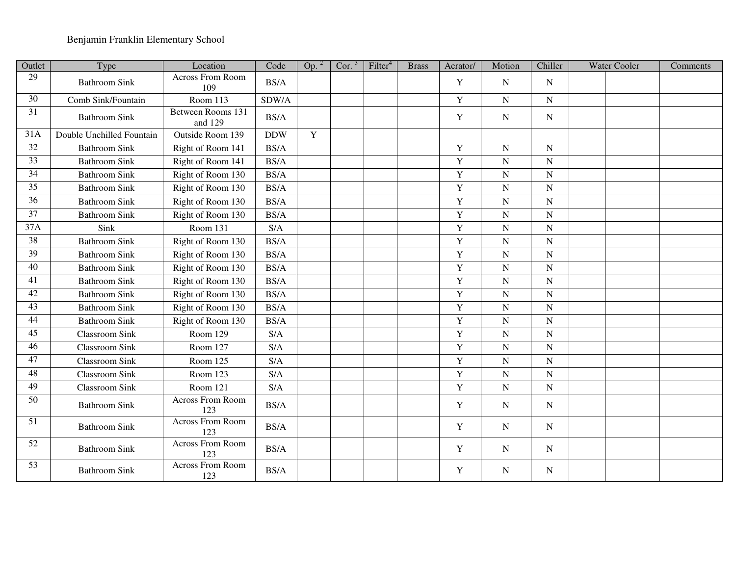| Outlet          | Type                      | Location                       | Code       | Op. $2$     | $Cor.$ <sup>3</sup> | Filter <sup>4</sup> | <b>Brass</b> | Aerator/    | Motion      | Chiller        | <b>Water Cooler</b> | Comments |
|-----------------|---------------------------|--------------------------------|------------|-------------|---------------------|---------------------|--------------|-------------|-------------|----------------|---------------------|----------|
| 29              | <b>Bathroom Sink</b>      | <b>Across From Room</b><br>109 | BS/A       |             |                     |                     |              | Y           | $\mathbf N$ | $\mathbf N$    |                     |          |
| 30              | Comb Sink/Fountain        | Room 113                       | SDW/A      |             |                     |                     |              | Y           | ${\bf N}$   | $\mathbf N$    |                     |          |
| 31              | <b>Bathroom Sink</b>      | Between Rooms 131<br>and 129   | BS/A       |             |                     |                     |              | Y           | ${\bf N}$   | N              |                     |          |
| 31A             | Double Unchilled Fountain | Outside Room 139               | <b>DDW</b> | $\mathbf Y$ |                     |                     |              |             |             |                |                     |          |
| $\overline{32}$ | <b>Bathroom Sink</b>      | Right of Room 141              | BS/A       |             |                     |                     |              | Y           | ${\bf N}$   | N              |                     |          |
| 33              | <b>Bathroom Sink</b>      | Right of Room 141              | BS/A       |             |                     |                     |              | $\mathbf Y$ | ${\bf N}$   | $\mathbf N$    |                     |          |
| 34              | <b>Bathroom Sink</b>      | Right of Room 130              | BS/A       |             |                     |                     |              | $\mathbf Y$ | ${\bf N}$   | $\mathbf N$    |                     |          |
| $\overline{35}$ | <b>Bathroom Sink</b>      | Right of Room 130              | BS/A       |             |                     |                     |              | $\mathbf Y$ | ${\bf N}$   | $\mathbf N$    |                     |          |
| 36              | <b>Bathroom Sink</b>      | Right of Room 130              | BS/A       |             |                     |                     |              | $\mathbf Y$ | ${\bf N}$   | $\mathbf N$    |                     |          |
| $\overline{37}$ | <b>Bathroom Sink</b>      | Right of Room 130              | BS/A       |             |                     |                     |              | $\mathbf Y$ | ${\bf N}$   | $\mathbf N$    |                     |          |
| 37A             | Sink                      | Room 131                       | S/A        |             |                     |                     |              | $\mathbf Y$ | ${\bf N}$   | $\mathbf N$    |                     |          |
| 38              | <b>Bathroom Sink</b>      | Right of Room 130              | BS/A       |             |                     |                     |              | $\mathbf Y$ | ${\bf N}$   | $\mathbf N$    |                     |          |
| 39              | <b>Bathroom Sink</b>      | Right of Room 130              | BS/A       |             |                     |                     |              | Y           | ${\bf N}$   | $\overline{N}$ |                     |          |
| 40              | <b>Bathroom Sink</b>      | Right of Room 130              | BS/A       |             |                     |                     |              | $\mathbf Y$ | ${\bf N}$   | $\mathbf N$    |                     |          |
| 41              | <b>Bathroom Sink</b>      | Right of Room 130              | BS/A       |             |                     |                     |              | $\mathbf Y$ | ${\bf N}$   | N              |                     |          |
| $\overline{42}$ | <b>Bathroom Sink</b>      | Right of Room 130              | BS/A       |             |                     |                     |              | $\mathbf Y$ | ${\bf N}$   | $\mathbf N$    |                     |          |
| 43              | <b>Bathroom Sink</b>      | Right of Room 130              | BS/A       |             |                     |                     |              | $\mathbf Y$ | ${\bf N}$   | N              |                     |          |
| 44              | <b>Bathroom Sink</b>      | Right of Room 130              | BS/A       |             |                     |                     |              | $\mathbf Y$ | ${\bf N}$   | $\mathbf N$    |                     |          |
| $\overline{45}$ | <b>Classroom Sink</b>     | Room 129                       | S/A        |             |                     |                     |              | Y           | ${\bf N}$   | $\mathbf N$    |                     |          |
| 46              | <b>Classroom Sink</b>     | Room 127                       | S/A        |             |                     |                     |              | $\mathbf Y$ | $\mathbf N$ | $\overline{N}$ |                     |          |
| 47              | <b>Classroom Sink</b>     | Room 125                       | S/A        |             |                     |                     |              | $\mathbf Y$ | ${\bf N}$   | $\mathbf N$    |                     |          |
| 48              | <b>Classroom Sink</b>     | Room 123                       | S/A        |             |                     |                     |              | $\mathbf Y$ | ${\bf N}$   | $\mathbf N$    |                     |          |
| 49              | <b>Classroom Sink</b>     | Room 121                       | S/A        |             |                     |                     |              | $\mathbf Y$ | ${\bf N}$   | $\mathbf N$    |                     |          |
| $\overline{50}$ | <b>Bathroom Sink</b>      | <b>Across From Room</b><br>123 | BS/A       |             |                     |                     |              | Y           | ${\bf N}$   | N              |                     |          |
| 51              | <b>Bathroom Sink</b>      | <b>Across From Room</b><br>123 | BS/A       |             |                     |                     |              | $\mathbf Y$ | ${\bf N}$   | $\mathbf N$    |                     |          |
| 52              | <b>Bathroom Sink</b>      | Across From Room<br>123        | BS/A       |             |                     |                     |              | Y           | ${\bf N}$   | $\mathbf N$    |                     |          |
| 53              | <b>Bathroom Sink</b>      | Across From Room<br>123        | BS/A       |             |                     |                     |              | Y           | N           | $\mathbf N$    |                     |          |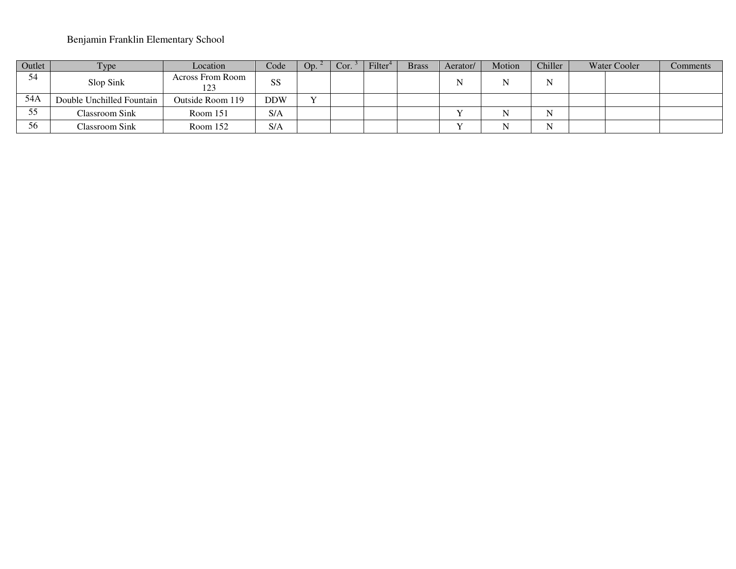# Benjamin Franklin Elementary School

| Outlet   | Type                      | Location                       | Code       | O <sub>p</sub> | Cor. | Filter | <b>Brass</b> | Aerator/ | Motion    | Chiller | Water Cooler | Comments |
|----------|---------------------------|--------------------------------|------------|----------------|------|--------|--------------|----------|-----------|---------|--------------|----------|
| 54       | Slop Sink                 | <b>Across From Room</b><br>123 | SS         |                |      |        |              |          | <b>NT</b> | N       |              |          |
| 54A      | Double Unchilled Fountain | Outside Room 119               | <b>DDW</b> |                |      |        |              |          |           |         |              |          |
| 55<br>JJ | <b>Classroom Sink</b>     | Room 151                       | S/A        |                |      |        |              |          |           | N       |              |          |
| 56       | Classroom Sink            | Room $152$                     | S/A        |                |      |        |              |          |           | N       |              |          |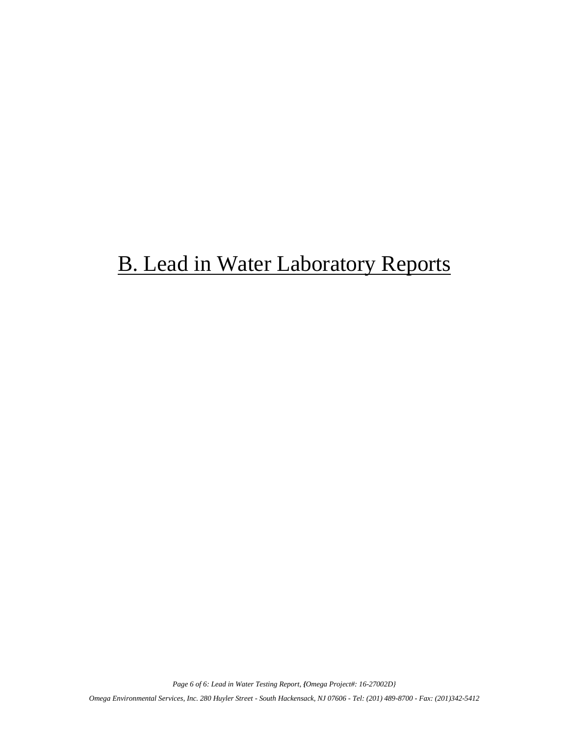# B. Lead in Water Laboratory Reports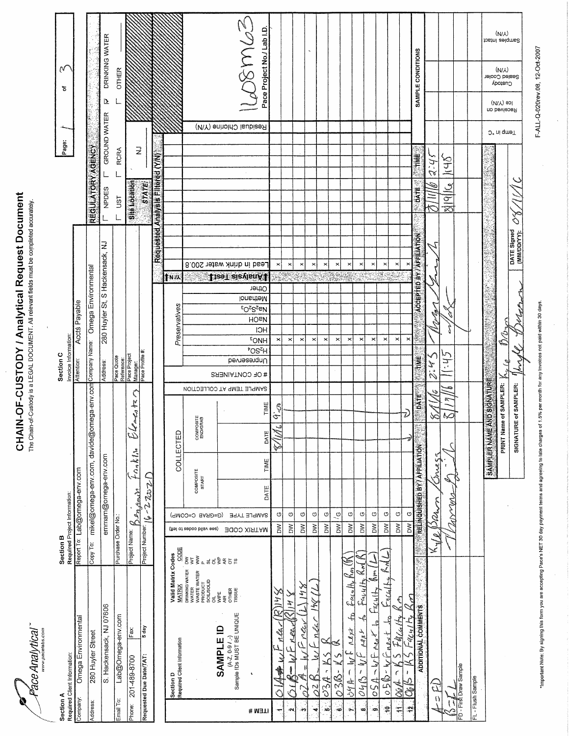Pace Analytical"

# **CHAIN-OF-CUSTODY / Analytical Request Document**<br>The Chain-of-Custody is a LEGAL DOCUMENT. All relevant fields must be completed accurately.

| Section A            |                                                                                                                                                      | Section B                                                        |                                     |                        |                                 | Section C                                |                                |                                                                  |                         |                                 |                                   |                            | Page:                   |                          | N<br>đ                     |                |
|----------------------|------------------------------------------------------------------------------------------------------------------------------------------------------|------------------------------------------------------------------|-------------------------------------|------------------------|---------------------------------|------------------------------------------|--------------------------------|------------------------------------------------------------------|-------------------------|---------------------------------|-----------------------------------|----------------------------|-------------------------|--------------------------|----------------------------|----------------|
|                      | Required Client Information:                                                                                                                         | Required Project Information:                                    |                                     |                        |                                 | Invoice Information:                     |                                |                                                                  |                         |                                 |                                   |                            |                         |                          |                            |                |
| Company:             | Omega Environmental                                                                                                                                  | Report To: Lab@omega-env.com                                     |                                     |                        |                                 | Attention:                               |                                | Accts Payable                                                    |                         |                                 |                                   |                            |                         |                          |                            |                |
| Address:             | 280 Huyler Street                                                                                                                                    | Copy To:                                                         | mikel@omega-env.com, davide@        | pmega-env.com          |                                 | Company Name:                            |                                | Omega Environmental                                              |                         |                                 |                                   | <b>REGULATORY AGENCY</b>   |                         |                          |                            |                |
|                      | S. Hackensack, NJ 07606                                                                                                                              |                                                                  | emmam@omega-env.com                 |                        |                                 | Address:                                 |                                |                                                                  |                         | 280 Huyler St, S Hackensack, NJ | NPDES                             |                            | GROUND WATER            | ⊵                        | DRINKING WATER             |                |
| Email To:            | Lab@Omega-env.com                                                                                                                                    | Purchase Order No.:                                              |                                     |                        |                                 | Pace Quote<br>Reference:<br>Pace Project |                                |                                                                  |                         |                                 | UST                               |                            | <b>RCRA</b>             |                          | OTHER                      |                |
| Phone:               | Fax:<br>201-489-8700                                                                                                                                 | Benjamin<br>Project Name:                                        | Franklin                            | ومسوء إيز<br>17        | Ç                               | Manager:                                 |                                |                                                                  |                         |                                 | She Location                      |                            | $\gtrsim$               |                          |                            |                |
|                      | 5 day<br>Requested Due Date/TAT:                                                                                                                     | Project Number: $\int_{\Phi} -2z\cos 2\pi$                       |                                     |                        |                                 | Pace Profile #                           |                                |                                                                  |                         |                                 |                                   | <b>STATE</b>               |                         |                          |                            |                |
|                      |                                                                                                                                                      |                                                                  |                                     |                        |                                 |                                          |                                |                                                                  |                         |                                 | Requested Analysis Filtered (Y/N) |                            |                         |                          |                            |                |
|                      | Valid Matrix Codes<br><b>MATRIX</b><br>Section D<br>Required Client Information                                                                      | CODE                                                             | COLLECTED                           |                        |                                 |                                          | Preservatives                  |                                                                  | <b>TNIA</b>             |                                 |                                   |                            |                         |                          |                            |                |
|                      | DRINKING WATER<br>WATER<br>WASTE WATER<br>PRODUCT<br>PRODUSOLID                                                                                      | (AMOO=0 BARD=0)<br>(fiel of aeboo bilsv ees)<br>ง<br>ผู้<br>สรรั | COMPOSITE<br>START                  | COMPOSITE<br>END/GRAB  | <b>NOITCETEMP AT COLLECTION</b> |                                          |                                |                                                                  |                         | Lead in drink water 200.8       |                                   |                            |                         |                          |                            |                |
|                      | AIR<br>OTHER<br>TISSUE<br>oil.<br>NPE<br>(A-Z, 0-9 / ,-)<br>Sample IDs MUST BE UNIQUE<br>SAMPLE ID                                                   | $\frac{1}{8}$ គ្គី ខ្ញុំ គ្ន                                     |                                     |                        | # OF CONTAINERS                 |                                          |                                |                                                                  | <b>LizeT</b> zievisnA I |                                 |                                   |                            | Residual Chlorine (Y/N) |                          |                            |                |
| <b>HEM#</b>          | $\ddot{\textbf{x}}$                                                                                                                                  | SAMPLE TYPE<br><b>BOOD XIRTAM</b>                                | TIME<br>DATE                        | TIME<br>DATE           |                                 | $*$ OS $*$ H<br>Unpreserved              | <b>HCI</b><br><sup>ε</sup> ONΗ | lonsrtteM<br><b>EO<sub>2</sub>S<sub>zBV</sub></b><br><b>HOPN</b> | Other                   |                                 |                                   |                            |                         |                          | Pace Project No./ Lab I.D. | SSMBO          |
| ÷                    | ダイバタ<br>Z.<br>鲁宁<br>Ĉ                                                                                                                                | O<br>$\geq$                                                      |                                     | Ş<br>c.<br>ى<br>とうど    |                                 |                                          | ×                              |                                                                  |                         |                                 |                                   |                            |                         |                          |                            |                |
| $\sim$               | ↘<br>4 I M<br>Melai<br>$\mathbb{Z}$<br>SQ.<br>c                                                                                                      | O<br>$\geq$                                                      |                                     |                        |                                 |                                          | $\pmb{\times}$                 |                                                                  |                         | ×                               |                                   |                            |                         |                          |                            |                |
| ್ಲ                   | $\mathbb{Z}_{h}$<br>أماهين<br>$\mathcal{O}$                                                                                                          | O<br>$\geq$                                                      |                                     |                        |                                 |                                          | ×                              |                                                                  |                         | ×                               |                                   |                            |                         |                          |                            |                |
| $\blacktriangledown$ | e.<br>Pe<br>$\tilde{Q}$                                                                                                                              | O<br>$\geq$                                                      |                                     |                        |                                 |                                          | $\boldsymbol{\times}$          |                                                                  |                         | ×                               |                                   |                            |                         |                          |                            |                |
| .<br>أ <b>م</b> ت    | ✓<br>1034.                                                                                                                                           | $\mathbb O$<br>δŇ                                                |                                     |                        |                                 |                                          | ×                              |                                                                  |                         | $\pmb{\times}$                  |                                   |                            |                         |                          |                            |                |
| ್ಲ                   | ∽<br>036-                                                                                                                                            | <u>ු</u><br>$\geq$                                               |                                     |                        |                                 |                                          | $\times$                       |                                                                  |                         | ×                               |                                   |                            |                         |                          |                            |                |
| j.                   | Eacuth Km U<br>$\epsilon$<br>人名拉卡<br>r<br>S<br>$540 -$                                                                                               | G<br>$\mathop{\rm S}\nolimits$                                   |                                     |                        |                                 |                                          | $\pmb{\times}$<br>×            |                                                                  |                         | ×<br>×                          |                                   |                            |                         |                          |                            |                |
| $\mathbf{m}$<br>ю,   | ś<br>z<br>Favulty<br>$C_{4(4)}$<br>쉮<br>$\hat{\mathcal{P}}$<br>4.87<br>ż<br>MA<br>م کیا<br>م<br>سا<br>پیدا<br>$O4\beta$ -<br>$\Rightarrow$<br>S<br>O | O<br>O<br>$\geq$<br>$\mathsf{S}\xspace$                          |                                     |                        |                                 |                                          | ×                              |                                                                  |                         | ×                               |                                   |                            |                         |                          |                            |                |
| $\tilde{\mathbf{r}}$ | ام<br>مار<br>Frical<br>nln<br>م)<br>په کام<br>نی<br>ده                                                                                               | O<br>$\geq$                                                      |                                     |                        |                                 |                                          | $\times$                       |                                                                  |                         | ×                               |                                   |                            |                         |                          |                            |                |
| Ξ                    | €<br>$\frac{1}{2}$<br>$\epsilon$<br>Š                                                                                                                | O<br>$\geq$                                                      |                                     |                        |                                 |                                          | $\pmb{\times}$                 |                                                                  |                         | ×                               |                                   |                            |                         |                          |                            |                |
| ≔ุ                   | É<br>Fig.<br>$\pmb{\cdot}$<br>$Q_{\!\!\ell}$                                                                                                         | $\circ$<br>$\geq$                                                |                                     | D<br>7                 |                                 |                                          | $\pmb{\times}$                 |                                                                  |                         | ×                               |                                   |                            |                         |                          |                            |                |
|                      | AbbitioNAL COMMENTS                                                                                                                                  | Ĩ.<br>¥                                                          | <b>RELINQUISHED BY/ AFFILIATION</b> | <b>BINE</b>            |                                 | i<br>Fine                                |                                |                                                                  |                         | Accepted by AFFIDATION          |                                   | <b>ME</b><br><b>NOWER</b>  |                         |                          | SAMPLE CONDITIONS          |                |
|                      | $\widetilde{\omega}$<br>ţ)                                                                                                                           | prenn<br>$\mathcal{I}$<br>أوسما                                  | V<br>.<br>Ödde                      | S                      |                                 | 2.4.                                     |                                |                                                                  |                         |                                 |                                   | sh:2<br>ë.                 |                         |                          |                            |                |
| ↷                    |                                                                                                                                                      | annen                                                            |                                     | õ.<br>КZ.<br>٢         |                                 | Ś                                        |                                |                                                                  |                         |                                 | <u>ज्ञा</u><br>छ                  | <b>Shil</b><br>$\tilde{S}$ |                         |                          |                            |                |
|                      | FD - First Draw Sample                                                                                                                               |                                                                  |                                     |                        |                                 |                                          |                                |                                                                  |                         |                                 |                                   |                            |                         |                          |                            |                |
|                      | FL - Flush Sample                                                                                                                                    |                                                                  |                                     |                        |                                 |                                          |                                |                                                                  |                         |                                 |                                   |                            |                         |                          |                            |                |
|                      |                                                                                                                                                      |                                                                  | SAMPLER NAME                        | <b>AND SIGNATURE</b>   |                                 |                                          |                                |                                                                  |                         |                                 |                                   |                            |                         |                          | Sealed Cooler              | Samples Intact |
|                      |                                                                                                                                                      |                                                                  |                                     | PRINT Name of SAMPLER: |                                 |                                          |                                |                                                                  |                         |                                 |                                   |                            | Jemp in 97              | lce (V/N)<br>Received on | (WIY)<br>Custody           | (WIY)          |
|                      |                                                                                                                                                      |                                                                  |                                     | SIGNATURE of SAMPLER:  |                                 |                                          |                                | المتعميم المستعمد                                                |                         | DATE Signed<br>(MM/DD/YY):      | r<br>V                            |                            |                         |                          |                            |                |

hmportant Note: By signing this form you are accepting Pace's NET 30 day payment terms and agreeing to late changes of 1.5% per morth for any invoices not paid within 30 days.

F-ALL-Q-020rev.08, 12-Oct-2007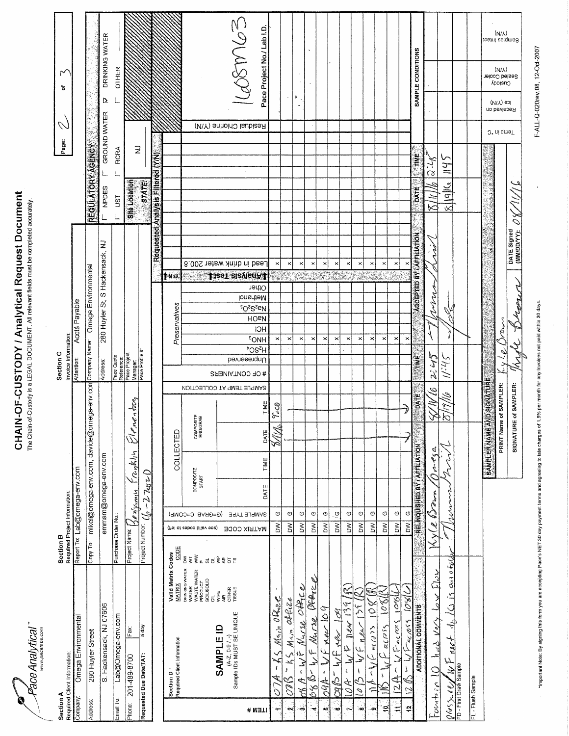$P^{Z}_{\text{AC}}$  Analytical" 

# **CHAIN-OF-CUSTODY / Analytical Request Document**<br>The Chain-of-Custody is a LEGAL DOCUMENT. All relevant fields must be completed accurately.

|                                               |                                                                                                            | Section B                                       |                           |                                           |                    |           |                                   |             |                                              | Section C                   |                            |                                       |                         |                          |                               |                                                   |                 |                   | Ó                       |                          | $\sim$            |                            |
|-----------------------------------------------|------------------------------------------------------------------------------------------------------------|-------------------------------------------------|---------------------------|-------------------------------------------|--------------------|-----------|-----------------------------------|-------------|----------------------------------------------|-----------------------------|----------------------------|---------------------------------------|-------------------------|--------------------------|-------------------------------|---------------------------------------------------|-----------------|-------------------|-------------------------|--------------------------|-------------------|----------------------------|
| Section A<br>Required Client Information:     |                                                                                                            | Required Project Information:                   |                           |                                           |                    |           |                                   |             |                                              | Invoice Information:        |                            |                                       |                         |                          |                               |                                                   |                 | Page:             |                         |                          | đ                 |                            |
| Company:                                      | Omega Environmental                                                                                        | Report To: Lab@omega-env.com                    |                           |                                           |                    |           |                                   |             | Attention:                                   |                             | <b>Accts Payable</b>       |                                       |                         |                          |                               |                                                   |                 |                   |                         |                          |                   |                            |
| Address:                                      | 280 Huyler Street                                                                                          | Copy To:                                        |                           | mikel@omega-env.com, davide@omega-env.com |                    |           |                                   |             |                                              | Company Name:               |                            | Omega Environmental                   |                         |                          |                               |                                                   |                 | REGULATORY AGENOY |                         |                          |                   |                            |
|                                               | S. Hackensack, NJ 07606                                                                                    |                                                 |                           | emmam@omega-env.com                       |                    |           |                                   |             | Address:                                     |                             |                            | 280 Huyler St, S Hackensack, NJ       |                         |                          |                               | NPDES                                             |                 |                   | GROUND WATER            | ⊵                        |                   | DRINKING WATER             |
| Email To:                                     | Lab@Omega-env.com                                                                                          | Purchase Order No.:                             |                           |                                           |                    |           |                                   |             | Pace Quote<br>Reference:                     |                             |                            |                                       |                         |                          |                               | UST                                               |                 | <b>RCRA</b>       |                         |                          | OTHER             |                            |
| Phone:                                        | Fax:<br>201-489-8700                                                                                       | Project Name:                                   |                           | Ja n'homin                                |                    | Franklin  | MAP ne 1821                       |             | Pace Project                                 |                             |                            |                                       |                         |                          |                               | Site Location                                     |                 |                   |                         |                          |                   |                            |
| Requested Due Date/TAT:                       | 5 day                                                                                                      | Project Number: $\ell_{\beta}$                  |                           | $-22w10$                                  |                    |           |                                   |             |                                              | Manager:<br>Pace Profile #: |                            |                                       |                         |                          |                               |                                                   | STATE           | $\Xi$             |                         |                          |                   |                            |
|                                               |                                                                                                            |                                                 |                           |                                           |                    |           |                                   |             |                                              |                             |                            |                                       |                         |                          |                               | Requested Analysis Filtered (Y/N)                 |                 |                   |                         |                          |                   |                            |
|                                               | Valid Matrix Codes<br><b>MATRIX</b><br>Section D<br>Required Client Information                            | CODE                                            |                           |                                           |                    | COLLECTED |                                   |             |                                              |                             | Preservatives              |                                       | <b>TNIA</b>             |                          |                               |                                                   |                 |                   |                         |                          |                   |                            |
|                                               | DRINKING WATER<br>WATER<br>WASTE WATER<br>PRODUCT<br>PRODUSOLID                                            | $\frac{5}{5}$ $\frac{1}{5}$ $\frac{1}{5}$<br>പ് | (fiel of zeboo blisv ees) | (9=СКАВ С=СОМЬ)                           | COMPOSITE<br>START |           | COMPOSITE<br>END/GRAB             |             |                                              |                             |                            |                                       |                         |                          |                               |                                                   |                 |                   |                         |                          |                   |                            |
|                                               | OL<br>WPE<br>OTHER<br>DISSUE<br>(A-Z, 0-9 / ,-)<br>Sample IDs MUST BE UNIQUE<br>SAMPLE ID                  | d } \$ 5 p                                      | <b>HOOD XIRTAM</b>        | SAMPLE TYPE                               |                    |           |                                   |             | # OF CONTAINERS<br>SAMPLE TEMP AT COLLECTION | Unpreserved                 |                            | Methanol<br><b>EO<sub>Z</sub>SZEN</b> | <b>J</b> Jael SizylsnA1 | ead in drink water 200.8 |                               |                                                   |                 |                   | Residual Chlorine (V/N) |                          |                   | SOUVISOT                   |
| # MELI                                        |                                                                                                            |                                                 |                           | DATE                                      |                    | TIME      | DATE                              | TIME        |                                              | <b>VOS<sup>Z</sup>H</b>     | <b>HOPN</b><br>HCI<br>EOMH |                                       | Other                   |                          |                               |                                                   |                 |                   |                         |                          |                   | Pace Project No./ Lab I.D. |
| Ő<br>پ                                        | $M_{5th}$ Office<br>$\mathfrak{g}$                                                                         |                                                 | Š                         | O                                         |                    |           | ڪ<br>1) li                        | $r_{eQ}$    |                                              |                             | ×                          |                                       |                         | ×                        |                               |                                                   |                 |                   |                         |                          |                   |                            |
| SLO<br>$\sim$                                 | otfize<br>$M$ ii,n<br>Šσ<br>ر ا                                                                            |                                                 | $\geq$                    | O                                         |                    |           |                                   |             |                                              |                             | $\times$                   |                                       |                         | $\times$                 |                               |                                                   |                 |                   |                         | $\ddot{\phantom{a}}$     |                   |                            |
| É<br>$\frac{1}{2}$                            | $N_{eff}$ office<br>こう<br>ಳು                                                                               |                                                 | $\geq$                    | O                                         |                    |           |                                   |             |                                              |                             | ×                          |                                       |                         | ×                        |                               |                                                   |                 |                   |                         | F                        |                   |                            |
| у<br>О<br>أكبر                                | Office<br>Nu Sl<br>$\mathbf{r}$<br>Ċ,                                                                      |                                                 | $\geq$                    | O                                         |                    |           |                                   |             |                                              |                             | $\times$                   |                                       |                         | ×                        |                               |                                                   |                 |                   |                         |                          |                   |                            |
| 094<br>$\sum_{i=1}^{n}$                       | $\frac{6}{9}$<br>Aller<br>فيسب<br>$\pmb{\varepsilon}$                                                      |                                                 | $\sum$                    | O                                         |                    |           |                                   |             |                                              |                             | $\times$                   |                                       |                         | $\times$                 |                               |                                                   |                 |                   |                         |                          |                   |                            |
| S<br>S<br>$\bullet$                           | $\mathcal{E}$<br>y Car<br>$\frac{1}{2}$<br>$\mathfrak{b}$                                                  |                                                 | $\geq$                    | <u>୍</u>                                  |                    |           |                                   |             |                                              |                             | ×                          |                                       |                         | $\times$                 |                               |                                                   |                 |                   |                         |                          |                   |                            |
| 104<br>$\ddot{\phantom{1}}$                   | $\mathbb{C}$<br>139<br>$\int \frac{\rho}{\epsilon} \rho_0 \,$<br>لمبا<br>.<br>$\tilde{z}$<br>$\pmb{\zeta}$ |                                                 | $\geq$                    | O                                         |                    |           |                                   |             |                                              |                             | ×                          |                                       |                         | ×                        |                               |                                                   |                 |                   |                         |                          |                   |                            |
| $\tilde{q}$<br>್ಲ                             | أبكي<br>$n$ <i>la</i><br>سکمیا<br>ţ                                                                        |                                                 | $\geq$                    | O                                         |                    |           |                                   |             |                                              |                             | ×                          |                                       |                         | $\times$                 |                               |                                                   |                 |                   |                         |                          |                   |                            |
| ≝<br>Ť<br>್ಲ<br>Ş                             | Ć,<br>$10\%$<br>$\frac{8}{2}$<br>5.607<br>a(105)<br>7<br>$\frac{1}{\sqrt{2}}$<br>s                         |                                                 | $\geq$<br>ŠΝ              | O<br>O                                    |                    |           |                                   |             |                                              |                             | $\times$<br>$\pmb{\times}$ |                                       |                         | ×<br>×                   |                               |                                                   |                 |                   |                         |                          |                   |                            |
| $\mathcal{L}$<br>ੂ                            | $10 - 21$<br>W FACTORS<br>$\big($<br>₫                                                                     |                                                 | ΣM                        | $\circ$                                   |                    |           |                                   |             |                                              |                             | ×                          |                                       |                         | $\times$                 |                               |                                                   |                 |                   |                         |                          |                   |                            |
| Ū<br>₽                                        | 1921<br>WFacpss<br>$\pmb{\}}$<br>€                                                                         |                                                 | $\geq$                    | O                                         |                    |           | 7                                 | 7           |                                              |                             | $\times$                   |                                       |                         | $\boldsymbol{\times}$    |                               |                                                   |                 |                   |                         |                          |                   |                            |
|                                               | Abditional comments                                                                                        |                                                 |                           | <b>MOLTAN MANUSHED BY / AFFILIATION</b>   |                    |           |                                   | <b>DATE</b> | <b>ENLE</b><br>ę,                            |                             |                            |                                       |                         |                          | <b>ACCEPTED BY/XFFIDATION</b> | <b>ERATE</b>                                      | ř.              | THE               |                         |                          | SAMPLE CONDITIONS |                            |
| over the in                                   | 42.<br>$\omega$ w<br>れぇき びゃく<br>$\subseteq$                                                                | $\breve{\ge}$                                   | فيك                       | $\mathscr{C}$                             |                    | Jurega    |                                   | S           |                                              | 2.45                        |                            |                                       |                         |                          |                               | '∕                                                | $\tilde{t}$     | γ.c               |                         |                          |                   |                            |
| $Q$ lets $\zeta_{\omega}$ let $\ell_{\omega}$ | 14 is an ofold<br>$\frac{1}{2}$<br>$\mathcal{A}$                                                           |                                                 |                           | mmm                                       |                    | in yr     | b                                 |             | 17:11                                        |                             | ţ                          |                                       |                         |                          |                               |                                                   | $\frac{819}{8}$ | $rac{1}{2}$       |                         |                          |                   |                            |
| FD - First Draw Sample                        |                                                                                                            |                                                 |                           |                                           |                    |           |                                   |             |                                              |                             |                            |                                       |                         |                          |                               |                                                   |                 |                   |                         |                          |                   |                            |
| FL - Flush Sample                             |                                                                                                            |                                                 |                           |                                           |                    |           |                                   |             |                                              |                             |                            |                                       |                         |                          |                               |                                                   |                 |                   |                         |                          |                   |                            |
|                                               |                                                                                                            |                                                 |                           |                                           |                    |           | <b>SAMPLER NAME AND SIGNATURE</b> |             |                                              |                             |                            |                                       |                         |                          |                               |                                                   |                 |                   |                         |                          | Sealed Cooler     | Samples Intact             |
|                                               |                                                                                                            |                                                 |                           |                                           |                    |           | PRINT Name of SAMPLER:            |             |                                              | ė,                          | Š                          |                                       |                         |                          |                               |                                                   |                 |                   | J'ni qmeT               | (VIN) eol<br>no beviebeR | (WIY)<br>Custody  | (WX)                       |
|                                               |                                                                                                            |                                                 |                           |                                           |                    |           | SIGNATURE of SAMPLER:             |             |                                              | i Kraj                      |                            | he Copper Lob                         |                         |                          |                               | DATE Signed $\frac{\partial \chi}{\partial \chi}$ |                 |                   |                         |                          |                   |                            |

F-ALL-Q-020rev.08, 12-Oct-2007

"Important Note: By signing this form you are accepiting Pace's NET 30 day payment lems and agreeing to late charges of 1.5% per month for any involces not paid within 30 days.

Ź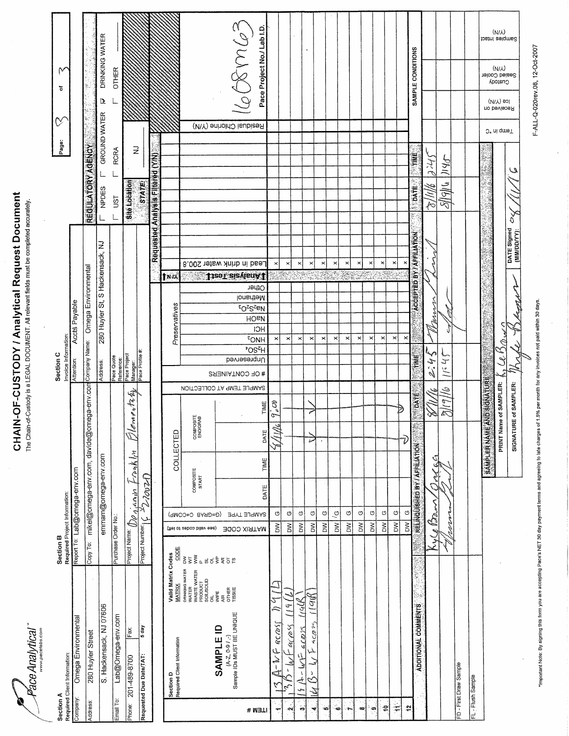|                                                                                                                      | PaceAnalytical" | www.nacetabs.com |
|----------------------------------------------------------------------------------------------------------------------|-----------------|------------------|
| <b>Contract Contract Contract Contract Contract Contract Contract Contract Contract Contract Contract Contract C</b> |                 |                  |

# **CHAIN-OF-CUSTODY / Analytical Request Document**<br>The Chain-of-Custody is a LEGAL DOCUMENT. All relevant fields must be completed accurately.

| S/N<br>Pace Project No./ Lab I.D.<br>(WN)<br>DRINKING WATER<br>Samples Intact<br>SAMPLE CONDITIONS<br>(WYY)<br>OTHER<br>Sealed Cooler<br>Custody<br>$\widetilde{\varphi}$<br>⊵<br>(VIN) eal<br>no bevieoeR<br>GROUND WATER<br>Residual Chlorine (V/N)<br>Jemp in 97<br><b>REGULATORY AGENCY</b><br>$\gtrsim$<br><b>RCRA</b><br>TIME<br>Requested Analysis Filtered (Y/N)<br><b>Phil</b><br>そんで<br><b>STATE!</b><br>$\frac{5}{100}$<br>Site Location<br>別/////を<br><b>SOATE</b><br><b>NPDES</b><br>UST<br>$\aleph$<br>DATE Signed<br>(MM/DD/YY):<br>Accepted BY AFFILIATION<br>280 Huyler St, S Hackensack, NJ<br>8.00S 191sw Xninb ni bse.<br>×<br>$\pmb{\times}$<br>×<br>×<br>×<br>×<br>×<br>×<br>×<br>×<br>$\boldsymbol{\times}$<br>Omega Environmental<br><b>JizeT</b> alaylenA1<br>tna<br>Other<br>Methanol<br><b>Accts Payable</b><br>Preservatives<br>$5025$ <sup>z</sup> eN<br>HOPN<br>J<br>HCI<br>$\times$<br>$\times$<br><b>EONH</b><br>$\times$<br>$\pmb{\times}$<br>$\times$<br>$\times$<br>$\times$<br>$\times$<br>$\pmb{\times}$<br>$\pmb{\times}$<br>$\times$<br>×<br>Company Name:<br>*OS <sup>Z</sup> H<br>Manager:<br>Pace Profile #:<br>$\curvearrowleft$<br>Pace Quote<br>Reference:<br>Pace Project<br>TIME<br>Unpreserved<br>Attention:<br>$\mathbb{Z}^2$<br>1/3.71<br>Address:<br><b>SABMIATNOD RO#</b><br>EANDSIGNATURE<br>PRINT Name of SAMPLER:<br>SIGNATURE of SAMPLER:<br>omega-env.com<br>SAMPLE TEMP AT COLLECTION<br>e.<br>amenta h<br><b>BATE</b><br>$\mathcal{L}$<br>$\theta_{\epsilon}^{'}$ (2)<br>TIME<br>$\widetilde{\kappa}$<br>ŠŞ<br>ℯ<br>COMPOSITE<br>END/GRAB<br>یپ<br>it f<br>COLLECTED<br>DATE<br>mikel@omega-env.com, davide@<br><b>SAMPLER NAM</b><br>E.<br>D<br>RELINQUISHED BY / AFFILIATION<br>$\sim$<br>Š<br>Eranklin<br>emmam@omega-env.com<br>Ontega<br>TIME<br>COMPOSITE<br>Report To: Lab@omega-env.com<br>Uzion2<br>START<br>DATE<br>Project Name: <i>(De A <sub>I</sub> Kinh)</i><br>e famo<br>$\circ$<br>്യ<br>$\circ$<br>$\circlearrowleft$<br>O<br>11202<br>O<br>O<br>$\tilde{\mathcal{L}}$<br>$\circ$<br>O<br>$\mathbb O$<br>O<br>(GWOO=O BARD=D)<br>SAMPLE TYPE<br>Purchase Order No.:<br>Project Number <sub>1</sub><br>$\overline{\mathsf{S}}$<br>$\geq$<br>$\geq$<br>$\sum_{i=1}^{n}$<br>$\geq$<br>$\geq$<br>$\geq$<br>$\geq$<br>$\geq$<br>$\geq$<br>$\geq$<br>$\geq$<br>(fiel of zeboo bilisv ees)<br><b>HOOD XIRTAM</b><br>ξ<br>Copy To:<br>CODE<br>Valid Matrix Codes<br>$\frac{1}{2}$ is $\frac{2}{3}$ and $\frac{1}{2}$ if $\frac{1}{2}$ is $\frac{1}{2}$<br>DRINKING WATER<br>WATER<br>WASTE WATER<br>PRODUCT<br>PRODUCT<br>$\cdot$<br><b>MATRIX</b><br>AIR<br>OTHER<br>TISSUE<br>oil.<br>WPE<br>11901<br>$\mathcal{L}$<br><u>(ralk</u><br>1991<br>S. Hackensack, NJ 07606<br>AbditionAL comments<br>$\approx$<br>(A-Z, 0-9 / ,-)<br>Sample IDs MUST BE UNIQUE<br>Lab@Omega-env.com<br>Omega Environmental<br>4C/874<br>BCOSI<br>$- w $ also $\sim$<br>5 day<br>SAMPLE ID<br>68.R)<br>Fax<br>280 Huyler Street<br>Section D<br>Required Client Information<br>لم<br>ليک<br>سيم<br>ا<br>ダイーブ<br>Requested Due Date/TAT:<br>201-489-8700<br>ゝ<br>FD - First Draw Sample<br>$46.5-$<br>₫<br>FL - Flush Sample<br>٣<br>يتهم<br>Company:<br>Email To:<br>Address:<br>Phone:<br>÷<br>길<br>್<br>$\sim$<br>$\frac{1}{2}$<br>$\ddot{\bullet}$<br>$\ddot{\mathbf{z}}$<br>$\bullet$<br>ಿ<br>чť,<br>-roj<br>پ<br><b>HIEM #</b> | Section A | Required Client Information: | Required Project Information:<br>Section B | Invoice Information<br>Section C |  | $\heartsuit$<br>Page: | đ | M |  |
|---------------------------------------------------------------------------------------------------------------------------------------------------------------------------------------------------------------------------------------------------------------------------------------------------------------------------------------------------------------------------------------------------------------------------------------------------------------------------------------------------------------------------------------------------------------------------------------------------------------------------------------------------------------------------------------------------------------------------------------------------------------------------------------------------------------------------------------------------------------------------------------------------------------------------------------------------------------------------------------------------------------------------------------------------------------------------------------------------------------------------------------------------------------------------------------------------------------------------------------------------------------------------------------------------------------------------------------------------------------------------------------------------------------------------------------------------------------------------------------------------------------------------------------------------------------------------------------------------------------------------------------------------------------------------------------------------------------------------------------------------------------------------------------------------------------------------------------------------------------------------------------------------------------------------------------------------------------------------------------------------------------------------------------------------------------------------------------------------------------------------------------------------------------------------------------------------------------------------------------------------------------------------------------------------------------------------------------------------------------------------------------------------------------------------------------------------------------------------------------------------------------------------------------------------------------------------------------------------------------------------------------------------------------------------------------------------------------------------------------------------------------------------------------------------------------------------------------------------------------------------------------------------------------------------------------------------------------------------------------------------------------------------------------------------------------------------------------------------------------------------------------------------------------------------------------------------------------------------------------------------------------------------------------------------------------------------------------------------------------------------------------|-----------|------------------------------|--------------------------------------------|----------------------------------|--|-----------------------|---|---|--|
|                                                                                                                                                                                                                                                                                                                                                                                                                                                                                                                                                                                                                                                                                                                                                                                                                                                                                                                                                                                                                                                                                                                                                                                                                                                                                                                                                                                                                                                                                                                                                                                                                                                                                                                                                                                                                                                                                                                                                                                                                                                                                                                                                                                                                                                                                                                                                                                                                                                                                                                                                                                                                                                                                                                                                                                                                                                                                                                                                                                                                                                                                                                                                                                                                                                                                                                                                                                       |           |                              |                                            |                                  |  |                       |   |   |  |
|                                                                                                                                                                                                                                                                                                                                                                                                                                                                                                                                                                                                                                                                                                                                                                                                                                                                                                                                                                                                                                                                                                                                                                                                                                                                                                                                                                                                                                                                                                                                                                                                                                                                                                                                                                                                                                                                                                                                                                                                                                                                                                                                                                                                                                                                                                                                                                                                                                                                                                                                                                                                                                                                                                                                                                                                                                                                                                                                                                                                                                                                                                                                                                                                                                                                                                                                                                                       |           |                              |                                            |                                  |  |                       |   |   |  |
|                                                                                                                                                                                                                                                                                                                                                                                                                                                                                                                                                                                                                                                                                                                                                                                                                                                                                                                                                                                                                                                                                                                                                                                                                                                                                                                                                                                                                                                                                                                                                                                                                                                                                                                                                                                                                                                                                                                                                                                                                                                                                                                                                                                                                                                                                                                                                                                                                                                                                                                                                                                                                                                                                                                                                                                                                                                                                                                                                                                                                                                                                                                                                                                                                                                                                                                                                                                       |           |                              |                                            |                                  |  |                       |   |   |  |
|                                                                                                                                                                                                                                                                                                                                                                                                                                                                                                                                                                                                                                                                                                                                                                                                                                                                                                                                                                                                                                                                                                                                                                                                                                                                                                                                                                                                                                                                                                                                                                                                                                                                                                                                                                                                                                                                                                                                                                                                                                                                                                                                                                                                                                                                                                                                                                                                                                                                                                                                                                                                                                                                                                                                                                                                                                                                                                                                                                                                                                                                                                                                                                                                                                                                                                                                                                                       |           |                              |                                            |                                  |  |                       |   |   |  |
|                                                                                                                                                                                                                                                                                                                                                                                                                                                                                                                                                                                                                                                                                                                                                                                                                                                                                                                                                                                                                                                                                                                                                                                                                                                                                                                                                                                                                                                                                                                                                                                                                                                                                                                                                                                                                                                                                                                                                                                                                                                                                                                                                                                                                                                                                                                                                                                                                                                                                                                                                                                                                                                                                                                                                                                                                                                                                                                                                                                                                                                                                                                                                                                                                                                                                                                                                                                       |           |                              |                                            |                                  |  |                       |   |   |  |
|                                                                                                                                                                                                                                                                                                                                                                                                                                                                                                                                                                                                                                                                                                                                                                                                                                                                                                                                                                                                                                                                                                                                                                                                                                                                                                                                                                                                                                                                                                                                                                                                                                                                                                                                                                                                                                                                                                                                                                                                                                                                                                                                                                                                                                                                                                                                                                                                                                                                                                                                                                                                                                                                                                                                                                                                                                                                                                                                                                                                                                                                                                                                                                                                                                                                                                                                                                                       |           |                              |                                            |                                  |  |                       |   |   |  |
|                                                                                                                                                                                                                                                                                                                                                                                                                                                                                                                                                                                                                                                                                                                                                                                                                                                                                                                                                                                                                                                                                                                                                                                                                                                                                                                                                                                                                                                                                                                                                                                                                                                                                                                                                                                                                                                                                                                                                                                                                                                                                                                                                                                                                                                                                                                                                                                                                                                                                                                                                                                                                                                                                                                                                                                                                                                                                                                                                                                                                                                                                                                                                                                                                                                                                                                                                                                       |           |                              |                                            |                                  |  |                       |   |   |  |
|                                                                                                                                                                                                                                                                                                                                                                                                                                                                                                                                                                                                                                                                                                                                                                                                                                                                                                                                                                                                                                                                                                                                                                                                                                                                                                                                                                                                                                                                                                                                                                                                                                                                                                                                                                                                                                                                                                                                                                                                                                                                                                                                                                                                                                                                                                                                                                                                                                                                                                                                                                                                                                                                                                                                                                                                                                                                                                                                                                                                                                                                                                                                                                                                                                                                                                                                                                                       |           |                              |                                            |                                  |  |                       |   |   |  |
|                                                                                                                                                                                                                                                                                                                                                                                                                                                                                                                                                                                                                                                                                                                                                                                                                                                                                                                                                                                                                                                                                                                                                                                                                                                                                                                                                                                                                                                                                                                                                                                                                                                                                                                                                                                                                                                                                                                                                                                                                                                                                                                                                                                                                                                                                                                                                                                                                                                                                                                                                                                                                                                                                                                                                                                                                                                                                                                                                                                                                                                                                                                                                                                                                                                                                                                                                                                       |           |                              |                                            |                                  |  |                       |   |   |  |
|                                                                                                                                                                                                                                                                                                                                                                                                                                                                                                                                                                                                                                                                                                                                                                                                                                                                                                                                                                                                                                                                                                                                                                                                                                                                                                                                                                                                                                                                                                                                                                                                                                                                                                                                                                                                                                                                                                                                                                                                                                                                                                                                                                                                                                                                                                                                                                                                                                                                                                                                                                                                                                                                                                                                                                                                                                                                                                                                                                                                                                                                                                                                                                                                                                                                                                                                                                                       |           |                              |                                            |                                  |  |                       |   |   |  |
|                                                                                                                                                                                                                                                                                                                                                                                                                                                                                                                                                                                                                                                                                                                                                                                                                                                                                                                                                                                                                                                                                                                                                                                                                                                                                                                                                                                                                                                                                                                                                                                                                                                                                                                                                                                                                                                                                                                                                                                                                                                                                                                                                                                                                                                                                                                                                                                                                                                                                                                                                                                                                                                                                                                                                                                                                                                                                                                                                                                                                                                                                                                                                                                                                                                                                                                                                                                       |           |                              |                                            |                                  |  |                       |   |   |  |
|                                                                                                                                                                                                                                                                                                                                                                                                                                                                                                                                                                                                                                                                                                                                                                                                                                                                                                                                                                                                                                                                                                                                                                                                                                                                                                                                                                                                                                                                                                                                                                                                                                                                                                                                                                                                                                                                                                                                                                                                                                                                                                                                                                                                                                                                                                                                                                                                                                                                                                                                                                                                                                                                                                                                                                                                                                                                                                                                                                                                                                                                                                                                                                                                                                                                                                                                                                                       |           |                              |                                            |                                  |  |                       |   |   |  |
|                                                                                                                                                                                                                                                                                                                                                                                                                                                                                                                                                                                                                                                                                                                                                                                                                                                                                                                                                                                                                                                                                                                                                                                                                                                                                                                                                                                                                                                                                                                                                                                                                                                                                                                                                                                                                                                                                                                                                                                                                                                                                                                                                                                                                                                                                                                                                                                                                                                                                                                                                                                                                                                                                                                                                                                                                                                                                                                                                                                                                                                                                                                                                                                                                                                                                                                                                                                       |           |                              |                                            |                                  |  |                       |   |   |  |
|                                                                                                                                                                                                                                                                                                                                                                                                                                                                                                                                                                                                                                                                                                                                                                                                                                                                                                                                                                                                                                                                                                                                                                                                                                                                                                                                                                                                                                                                                                                                                                                                                                                                                                                                                                                                                                                                                                                                                                                                                                                                                                                                                                                                                                                                                                                                                                                                                                                                                                                                                                                                                                                                                                                                                                                                                                                                                                                                                                                                                                                                                                                                                                                                                                                                                                                                                                                       |           |                              |                                            |                                  |  |                       |   |   |  |
|                                                                                                                                                                                                                                                                                                                                                                                                                                                                                                                                                                                                                                                                                                                                                                                                                                                                                                                                                                                                                                                                                                                                                                                                                                                                                                                                                                                                                                                                                                                                                                                                                                                                                                                                                                                                                                                                                                                                                                                                                                                                                                                                                                                                                                                                                                                                                                                                                                                                                                                                                                                                                                                                                                                                                                                                                                                                                                                                                                                                                                                                                                                                                                                                                                                                                                                                                                                       |           |                              |                                            |                                  |  |                       |   |   |  |
|                                                                                                                                                                                                                                                                                                                                                                                                                                                                                                                                                                                                                                                                                                                                                                                                                                                                                                                                                                                                                                                                                                                                                                                                                                                                                                                                                                                                                                                                                                                                                                                                                                                                                                                                                                                                                                                                                                                                                                                                                                                                                                                                                                                                                                                                                                                                                                                                                                                                                                                                                                                                                                                                                                                                                                                                                                                                                                                                                                                                                                                                                                                                                                                                                                                                                                                                                                                       |           |                              |                                            |                                  |  |                       |   |   |  |
|                                                                                                                                                                                                                                                                                                                                                                                                                                                                                                                                                                                                                                                                                                                                                                                                                                                                                                                                                                                                                                                                                                                                                                                                                                                                                                                                                                                                                                                                                                                                                                                                                                                                                                                                                                                                                                                                                                                                                                                                                                                                                                                                                                                                                                                                                                                                                                                                                                                                                                                                                                                                                                                                                                                                                                                                                                                                                                                                                                                                                                                                                                                                                                                                                                                                                                                                                                                       |           |                              |                                            |                                  |  |                       |   |   |  |
|                                                                                                                                                                                                                                                                                                                                                                                                                                                                                                                                                                                                                                                                                                                                                                                                                                                                                                                                                                                                                                                                                                                                                                                                                                                                                                                                                                                                                                                                                                                                                                                                                                                                                                                                                                                                                                                                                                                                                                                                                                                                                                                                                                                                                                                                                                                                                                                                                                                                                                                                                                                                                                                                                                                                                                                                                                                                                                                                                                                                                                                                                                                                                                                                                                                                                                                                                                                       |           |                              |                                            |                                  |  |                       |   |   |  |
|                                                                                                                                                                                                                                                                                                                                                                                                                                                                                                                                                                                                                                                                                                                                                                                                                                                                                                                                                                                                                                                                                                                                                                                                                                                                                                                                                                                                                                                                                                                                                                                                                                                                                                                                                                                                                                                                                                                                                                                                                                                                                                                                                                                                                                                                                                                                                                                                                                                                                                                                                                                                                                                                                                                                                                                                                                                                                                                                                                                                                                                                                                                                                                                                                                                                                                                                                                                       |           |                              |                                            |                                  |  |                       |   |   |  |
|                                                                                                                                                                                                                                                                                                                                                                                                                                                                                                                                                                                                                                                                                                                                                                                                                                                                                                                                                                                                                                                                                                                                                                                                                                                                                                                                                                                                                                                                                                                                                                                                                                                                                                                                                                                                                                                                                                                                                                                                                                                                                                                                                                                                                                                                                                                                                                                                                                                                                                                                                                                                                                                                                                                                                                                                                                                                                                                                                                                                                                                                                                                                                                                                                                                                                                                                                                                       |           |                              |                                            |                                  |  |                       |   |   |  |
|                                                                                                                                                                                                                                                                                                                                                                                                                                                                                                                                                                                                                                                                                                                                                                                                                                                                                                                                                                                                                                                                                                                                                                                                                                                                                                                                                                                                                                                                                                                                                                                                                                                                                                                                                                                                                                                                                                                                                                                                                                                                                                                                                                                                                                                                                                                                                                                                                                                                                                                                                                                                                                                                                                                                                                                                                                                                                                                                                                                                                                                                                                                                                                                                                                                                                                                                                                                       |           |                              |                                            |                                  |  |                       |   |   |  |
|                                                                                                                                                                                                                                                                                                                                                                                                                                                                                                                                                                                                                                                                                                                                                                                                                                                                                                                                                                                                                                                                                                                                                                                                                                                                                                                                                                                                                                                                                                                                                                                                                                                                                                                                                                                                                                                                                                                                                                                                                                                                                                                                                                                                                                                                                                                                                                                                                                                                                                                                                                                                                                                                                                                                                                                                                                                                                                                                                                                                                                                                                                                                                                                                                                                                                                                                                                                       |           |                              |                                            |                                  |  |                       |   |   |  |
|                                                                                                                                                                                                                                                                                                                                                                                                                                                                                                                                                                                                                                                                                                                                                                                                                                                                                                                                                                                                                                                                                                                                                                                                                                                                                                                                                                                                                                                                                                                                                                                                                                                                                                                                                                                                                                                                                                                                                                                                                                                                                                                                                                                                                                                                                                                                                                                                                                                                                                                                                                                                                                                                                                                                                                                                                                                                                                                                                                                                                                                                                                                                                                                                                                                                                                                                                                                       |           |                              |                                            |                                  |  |                       |   |   |  |
|                                                                                                                                                                                                                                                                                                                                                                                                                                                                                                                                                                                                                                                                                                                                                                                                                                                                                                                                                                                                                                                                                                                                                                                                                                                                                                                                                                                                                                                                                                                                                                                                                                                                                                                                                                                                                                                                                                                                                                                                                                                                                                                                                                                                                                                                                                                                                                                                                                                                                                                                                                                                                                                                                                                                                                                                                                                                                                                                                                                                                                                                                                                                                                                                                                                                                                                                                                                       |           |                              |                                            |                                  |  |                       |   |   |  |
|                                                                                                                                                                                                                                                                                                                                                                                                                                                                                                                                                                                                                                                                                                                                                                                                                                                                                                                                                                                                                                                                                                                                                                                                                                                                                                                                                                                                                                                                                                                                                                                                                                                                                                                                                                                                                                                                                                                                                                                                                                                                                                                                                                                                                                                                                                                                                                                                                                                                                                                                                                                                                                                                                                                                                                                                                                                                                                                                                                                                                                                                                                                                                                                                                                                                                                                                                                                       |           |                              |                                            |                                  |  |                       |   |   |  |
|                                                                                                                                                                                                                                                                                                                                                                                                                                                                                                                                                                                                                                                                                                                                                                                                                                                                                                                                                                                                                                                                                                                                                                                                                                                                                                                                                                                                                                                                                                                                                                                                                                                                                                                                                                                                                                                                                                                                                                                                                                                                                                                                                                                                                                                                                                                                                                                                                                                                                                                                                                                                                                                                                                                                                                                                                                                                                                                                                                                                                                                                                                                                                                                                                                                                                                                                                                                       |           |                              |                                            |                                  |  |                       |   |   |  |
|                                                                                                                                                                                                                                                                                                                                                                                                                                                                                                                                                                                                                                                                                                                                                                                                                                                                                                                                                                                                                                                                                                                                                                                                                                                                                                                                                                                                                                                                                                                                                                                                                                                                                                                                                                                                                                                                                                                                                                                                                                                                                                                                                                                                                                                                                                                                                                                                                                                                                                                                                                                                                                                                                                                                                                                                                                                                                                                                                                                                                                                                                                                                                                                                                                                                                                                                                                                       |           |                              |                                            |                                  |  |                       |   |   |  |
|                                                                                                                                                                                                                                                                                                                                                                                                                                                                                                                                                                                                                                                                                                                                                                                                                                                                                                                                                                                                                                                                                                                                                                                                                                                                                                                                                                                                                                                                                                                                                                                                                                                                                                                                                                                                                                                                                                                                                                                                                                                                                                                                                                                                                                                                                                                                                                                                                                                                                                                                                                                                                                                                                                                                                                                                                                                                                                                                                                                                                                                                                                                                                                                                                                                                                                                                                                                       |           |                              |                                            |                                  |  |                       |   |   |  |
|                                                                                                                                                                                                                                                                                                                                                                                                                                                                                                                                                                                                                                                                                                                                                                                                                                                                                                                                                                                                                                                                                                                                                                                                                                                                                                                                                                                                                                                                                                                                                                                                                                                                                                                                                                                                                                                                                                                                                                                                                                                                                                                                                                                                                                                                                                                                                                                                                                                                                                                                                                                                                                                                                                                                                                                                                                                                                                                                                                                                                                                                                                                                                                                                                                                                                                                                                                                       |           |                              |                                            |                                  |  |                       |   |   |  |
|                                                                                                                                                                                                                                                                                                                                                                                                                                                                                                                                                                                                                                                                                                                                                                                                                                                                                                                                                                                                                                                                                                                                                                                                                                                                                                                                                                                                                                                                                                                                                                                                                                                                                                                                                                                                                                                                                                                                                                                                                                                                                                                                                                                                                                                                                                                                                                                                                                                                                                                                                                                                                                                                                                                                                                                                                                                                                                                                                                                                                                                                                                                                                                                                                                                                                                                                                                                       |           |                              |                                            |                                  |  |                       |   |   |  |

F-ALL-Q-020rev.08, 12-Oct-2007

"Important Ndre: By signing this form you are accepting Pace's NET 30 day payment terms and agreeing to late charges of 1.5% per month for any involces not paid within 30 days.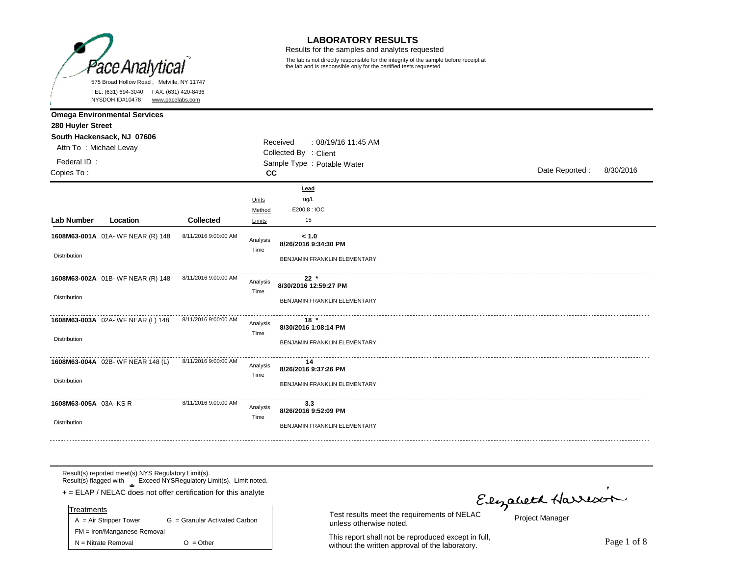

Results for the samples and analytes requested

The lab is not directly responsible for the integrity of the sample before receipt at the lab and is responsible only for the certified tests requested.

|                                      | NYSDOH ID#10478<br>www.pacelabs.com                   |                      |                           |                                                                 |                |           |
|--------------------------------------|-------------------------------------------------------|----------------------|---------------------------|-----------------------------------------------------------------|----------------|-----------|
| 280 Huyler Street                    | <b>Omega Environmental Services</b>                   |                      |                           |                                                                 |                |           |
| Attn To: Michael Levay               | South Hackensack, NJ 07606                            |                      |                           | Received<br>$: 08/19/16$ 11:45 AM<br>Collected By : Client      |                |           |
| Federal ID:<br>Copies To:            |                                                       |                      | <b>CC</b>                 | Sample Type : Potable Water                                     | Date Reported: | 8/30/2016 |
| Lab Number                           | Location                                              | <b>Collected</b>     | Units<br>Method<br>Limits | <u>Lead</u><br>ug/L<br>E200.8 : IOC<br>15                       |                |           |
| Distribution                         | 1608M63-001A 01A-WF NEAR (R) 148                      | 8/11/2016 9:00:00 AM | Analysis<br>Time          | < 1.0<br>8/26/2016 9:34:30 PM<br>BENJAMIN FRANKLIN ELEMENTARY   |                |           |
| Distribution                         | 1608M63-002A 01B-WF NEAR (R) 148 8/11/2016 9:00:00 AM |                      | Analysis<br>Time          | $22 *$<br>8/30/2016 12:59:27 PM<br>BENJAMIN FRANKLIN ELEMENTARY |                |           |
| Distribution                         | 1608M63-003A 02A-WF NEAR (L) 148                      | 8/11/2016 9:00:00 AM | Analysis<br>Time          | $18*$<br>8/30/2016 1:08:14 PM<br>BENJAMIN FRANKLIN ELEMENTARY   |                |           |
| Distribution                         | 1608M63-004A 02B-WF NEAR 148 (L)                      | 8/11/2016 9:00:00 AM | Analysis<br>Time          | 14<br>8/26/2016 9:37:26 PM<br>BENJAMIN FRANKLIN ELEMENTARY      |                |           |
| 1608M63-005A 03A-KSR<br>Distribution |                                                       | 8/11/2016 9:00:00 AM | Analysis<br>Time          | 3.3<br>8/26/2016 9:52:09 PM<br>BENJAMIN FRANKLIN ELEMENTARY     |                |           |

Result(s) reported meet(s) NYS Regulatory Limit(s). Result(s) flagged with Exceed NYSRegulatory Limit(s). Limit noted.

**\*** + = ELAP / NELAC does not offer certification for this analyte

| Treatments                  |                               |
|-----------------------------|-------------------------------|
| $A = Air Strepper Tower$    | G = Granular Activated Carbon |
| FM = Iron/Manganese Removal |                               |
| $N = N$ itrate Removal      | $O = Other$                   |

Test results meet the requirements of NELAC<br>Test results meet the requirements of NELAC unless otherwise noted.

Project Manager

This report shall not be reproduced except in full, without the written approval of the laboratory.<br>We without the written approval of the laboratory.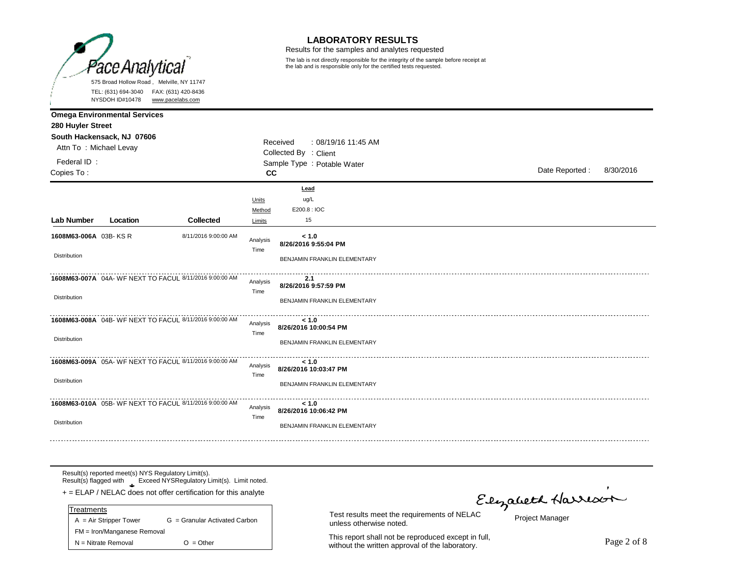

Results for the samples and analytes requested

The lab is not directly responsible for the integrity of the sample before receipt at the lab and is responsible only for the certified tests requested.

|                                      | NYSDOH ID#10478                     | www.pacelabs.com                                        |                           |                                                                |                |           |
|--------------------------------------|-------------------------------------|---------------------------------------------------------|---------------------------|----------------------------------------------------------------|----------------|-----------|
| 280 Huyler Street                    | <b>Omega Environmental Services</b> |                                                         |                           |                                                                |                |           |
| Attn To: Michael Levay               | South Hackensack, NJ 07606          |                                                         |                           | Received<br>$: 08/19/16$ 11:45 AM<br>Collected By : Client     |                |           |
| Federal ID:<br>Copies To:            |                                     |                                                         | cc                        | Sample Type : Potable Water                                    | Date Reported: | 8/30/2016 |
| Lab Number                           | Location                            | <b>Collected</b>                                        | Units<br>Method<br>Limits | Lead<br>ug/L<br>E200.8 : IOC<br>15                             |                |           |
| 1608M63-006A 03B-KSR<br>Distribution |                                     | 8/11/2016 9:00:00 AM                                    | Analysis<br>Time          | < 1.0<br>8/26/2016 9:55:04 PM<br>BENJAMIN FRANKLIN ELEMENTARY  |                |           |
| Distribution                         |                                     | 1608M63-007A 04A- WF NEXT TO FACUL 8/11/2016 9:00:00 AM | Analysis<br>Time          | 2.1<br>8/26/2016 9:57:59 PM<br>BENJAMIN FRANKLIN ELEMENTARY    |                |           |
| Distribution                         |                                     | 1608M63-008A 04B- WF NEXT TO FACUL 8/11/2016 9:00:00 AM | Analysis<br>Time          | < 1.0<br>8/26/2016 10:00:54 PM<br>BENJAMIN FRANKLIN ELEMENTARY |                |           |
| Distribution                         |                                     | 1608M63-009A 05A-WF NEXT TO FACUL 8/11/2016 9:00:00 AM  | Analysis<br>Time          | < 1.0<br>8/26/2016 10:03:47 PM<br>BENJAMIN FRANKLIN ELEMENTARY |                |           |
| Distribution                         |                                     | 1608M63-010A 05B-WF NEXT TO FACUL 8/11/2016 9:00:00 AM  | Analysis<br>Time          | < 1.0<br>8/26/2016 10:06:42 PM<br>BENJAMIN FRANKLIN ELEMENTARY |                |           |

Result(s) reported meet(s) NYS Regulatory Limit(s). Result(s) flagged with Exceed NYSRegulatory Limit(s). Limit noted.

**\*** + = ELAP / NELAC does not offer certification for this analyte

| Treatments                  |                               |
|-----------------------------|-------------------------------|
| $A = Air Strepper Tower$    | G = Granular Activated Carbon |
| FM = Iron/Manganese Removal |                               |
| $N =$ Nitrate Removal       | $O = Other$                   |

Test results meet the requirements of NELAC<br>Test results meet the requirements of NELAC

unless otherwise noted.

Project Manager

This report shall not be reproduced except in full, without the written approval of the laboratory.<br>We without the written approval of the laboratory.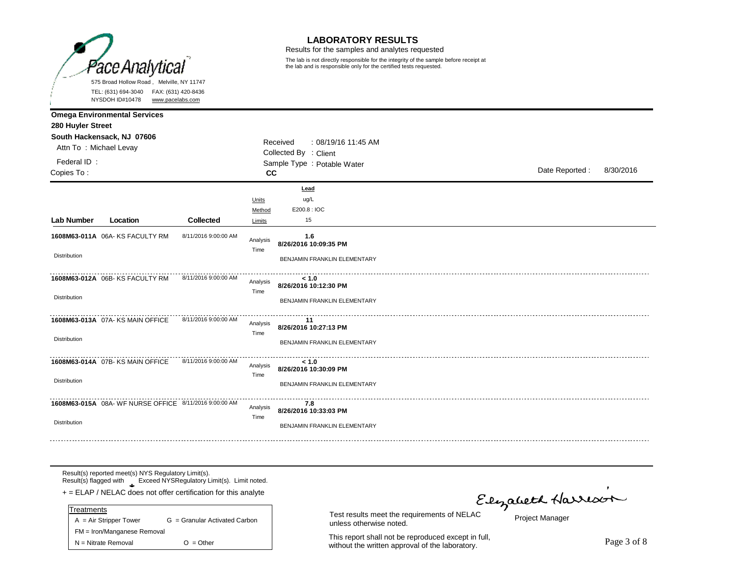

Results for the samples and analytes requested

The lab is not directly responsible for the integrity of the sample before receipt at the lab and is responsible only for the certified tests requested.

|                           | NYSDOH ID#10478<br>www.pacelabs.com                    |                      |                           |                                                                |                |           |
|---------------------------|--------------------------------------------------------|----------------------|---------------------------|----------------------------------------------------------------|----------------|-----------|
| 280 Huyler Street         | <b>Omega Environmental Services</b>                    |                      |                           |                                                                |                |           |
| Attn To: Michael Levay    | South Hackensack, NJ 07606                             |                      |                           | Received<br>: 08/19/16 11:45 AM<br>Collected By : Client       |                |           |
| Federal ID:<br>Copies To: |                                                        |                      | <b>CC</b>                 | Sample Type : Potable Water                                    | Date Reported: | 8/30/2016 |
| Lab Number                | Location                                               | <b>Collected</b>     | Units<br>Method<br>Limits | Lead<br>ug/L<br>E200.8 : IOC<br>15                             |                |           |
| Distribution              | 1608M63-011A 06A-KS FACULTY RM                         | 8/11/2016 9:00:00 AM | Analysis<br>Time          | 1.6<br>8/26/2016 10:09:35 PM<br>BENJAMIN FRANKLIN ELEMENTARY   |                |           |
| Distribution              | 1608M63-012A 06B-KS FACULTY RM                         | 8/11/2016 9:00:00 AM | Analysis<br>Time          | < 1.0<br>8/26/2016 10:12:30 PM<br>BENJAMIN FRANKLIN ELEMENTARY |                |           |
| Distribution              | 1608M63-013A 07A-KS MAIN OFFICE                        | 8/11/2016 9:00:00 AM | Analysis<br>Time          | 11<br>8/26/2016 10:27:13 PM<br>BENJAMIN FRANKLIN ELEMENTARY    |                |           |
| Distribution              | 1608M63-014A 07B-KS MAIN OFFICE                        | 8/11/2016 9:00:00 AM | Analysis<br>Time          | < 1.0<br>8/26/2016 10:30:09 PM<br>BENJAMIN FRANKLIN ELEMENTARY |                |           |
| Distribution              | 1608M63-015A 08A- WF NURSE OFFICE 8/11/2016 9:00:00 AM |                      | Analysis<br>Time          | 7.8<br>8/26/2016 10:33:03 PM<br>BENJAMIN FRANKLIN ELEMENTARY   |                |           |

Result(s) reported meet(s) NYS Regulatory Limit(s). Result(s) flagged with Exceed NYSRegulatory Limit(s). Limit noted.

**\*** + = ELAP / NELAC does not offer certification for this analyte

| $A = Air Strepper Tower$ | G = Granular Activated Carbon             |
|--------------------------|-------------------------------------------|
|                          |                                           |
| $N = N$ itrate Removal   | $O = Other$                               |
|                          | Treatments<br>FM = Iron/Manganese Removal |

Test results meet the requirements of NELAC<br>Test results meet the requirements of NELAC

unless otherwise noted.

This report shall not be reproduced except in full, without the written approval of the laboratory.<br>We without the written approval of the laboratory.

Project Manager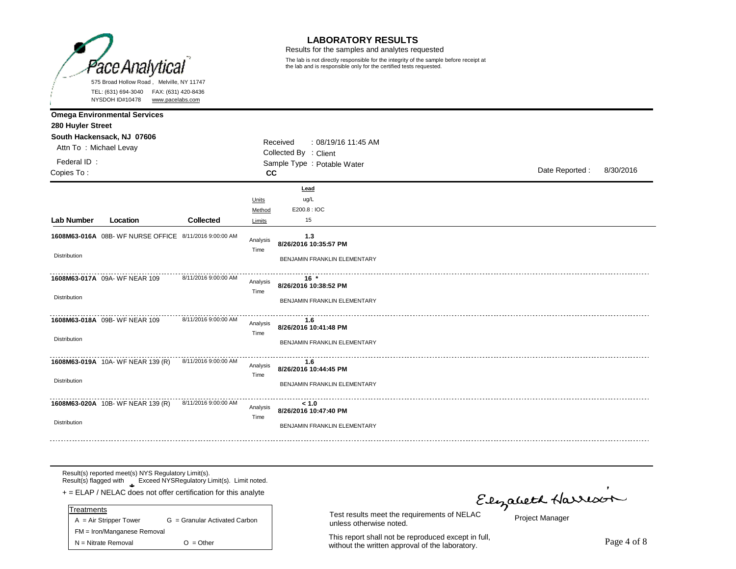

Results for the samples and analytes requested

The lab is not directly responsible for the integrity of the sample before receipt at the lab and is responsible only for the certified tests requested.

|                           | NYSDOH ID#10478<br>www.pacelabs.com                   |                      |                           |                                                                |                |           |
|---------------------------|-------------------------------------------------------|----------------------|---------------------------|----------------------------------------------------------------|----------------|-----------|
| 280 Huyler Street         | <b>Omega Environmental Services</b>                   |                      |                           |                                                                |                |           |
| Attn To: Michael Levay    | South Hackensack, NJ 07606                            |                      |                           | Received<br>$: 08/19/16$ 11:45 AM<br>Collected By : Client     |                |           |
| Federal ID:<br>Copies To: |                                                       |                      | <b>CC</b>                 | Sample Type : Potable Water                                    | Date Reported: | 8/30/2016 |
| Lab Number                | Location                                              | Collected            | Units<br>Method<br>Limits | <u>Lead</u><br>ug/L<br>E200.8 : IOC<br>15                      |                |           |
| Distribution              | 1608M63-016A 08B-WF NURSE OFFICE 8/11/2016 9:00:00 AM |                      | Analysis<br>Time          | 1.3<br>8/26/2016 10:35:57 PM<br>BENJAMIN FRANKLIN ELEMENTARY   |                |           |
| Distribution              | 1608M63-017A 09A- WF NEAR 109                         | 8/11/2016 9:00:00 AM | Analysis<br>Time          | $16*$<br>8/26/2016 10:38:52 PM<br>BENJAMIN FRANKLIN ELEMENTARY |                |           |
| Distribution              | 1608M63-018A 09B-WF NEAR 109                          | 8/11/2016 9:00:00 AM | Analysis<br>Time          | 1.6<br>8/26/2016 10:41:48 PM<br>BENJAMIN FRANKLIN ELEMENTARY   |                |           |
| Distribution              | 1608M63-019A 10A-WF NEAR 139 (R)                      | 8/11/2016 9:00:00 AM | Analysis<br>Time          | 1.6<br>8/26/2016 10:44:45 PM<br>BENJAMIN FRANKLIN ELEMENTARY   |                |           |
| Distribution              | 1608M63-020A 10B- WF NEAR 139 (R)                     | 8/11/2016 9:00:00 AM | Analysis<br>Time          | < 1.0<br>8/26/2016 10:47:40 PM<br>BENJAMIN FRANKLIN ELEMENTARY |                |           |

Result(s) reported meet(s) NYS Regulatory Limit(s). Result(s) flagged with  $\leftarrow$  Exceed NYSRegulatory Limit(s). Limit noted.

**\*** + = ELAP / NELAC does not offer certification for this analyte

| Treatments |                             |                               |
|------------|-----------------------------|-------------------------------|
|            | $A = Air Strepper Tower$    | G = Granular Activated Carbon |
|            | FM = Iron/Manganese Removal |                               |
|            | $N =$ Nitrate Removal       | $O = Other$                   |

unless otherwise noted.

This report shall not be reproduced except in full, without the written approval of the laboratory.<br>We without the written approval of the laboratory.

Test results meet the requirements of NELAC<br>Test results meet the requirements of NELAC

Project Manager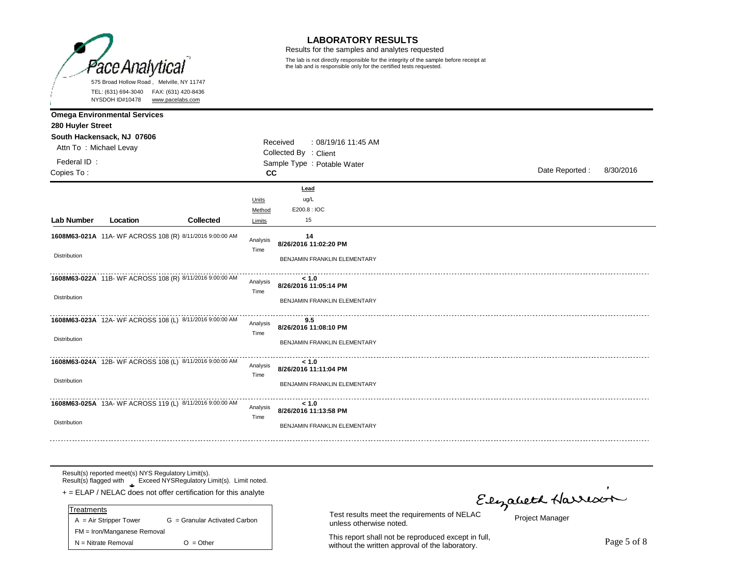

Results for the samples and analytes requested

The lab is not directly responsible for the integrity of the sample before receipt at the lab and is responsible only for the certified tests requested.

|                           | NYSDOH ID#10478<br>www.pacelabs.com                      |                  |                           |                                                                |                |           |
|---------------------------|----------------------------------------------------------|------------------|---------------------------|----------------------------------------------------------------|----------------|-----------|
| 280 Huyler Street         | <b>Omega Environmental Services</b>                      |                  |                           |                                                                |                |           |
| Attn To: Michael Levay    | South Hackensack, NJ 07606                               |                  |                           | Received<br>$: 08/19/16$ 11:45 AM<br>Collected By : Client     |                |           |
| Federal ID:<br>Copies To: |                                                          |                  | cc                        | Sample Type : Potable Water                                    | Date Reported: | 8/30/2016 |
| Lab Number                | Location                                                 | <b>Collected</b> | Units<br>Method<br>Limits | Lead<br>ug/L<br>E200.8 : IOC<br>15                             |                |           |
| Distribution              | 1608M63-021A 11A-WF ACROSS 108 (R) 8/11/2016 9:00:00 AM  |                  | Analysis<br>Time          | 14<br>8/26/2016 11:02:20 PM<br>BENJAMIN FRANKLIN ELEMENTARY    |                |           |
| Distribution              | 1608M63-022A 11B- WF ACROSS 108 (R) 8/11/2016 9:00:00 AM |                  | Analysis<br>Time          | < 1.0<br>8/26/2016 11:05:14 PM<br>BENJAMIN FRANKLIN ELEMENTARY |                |           |
| Distribution              | 1608M63-023A 12A-WF ACROSS 108 (L) 8/11/2016 9:00:00 AM  |                  | Analysis<br>Time          | 9.5<br>8/26/2016 11:08:10 PM<br>BENJAMIN FRANKLIN ELEMENTARY   |                |           |
| Distribution              | 1608M63-024A 12B-WF ACROSS 108 (L) 8/11/2016 9:00:00 AM  |                  | Analysis<br>Time          | < 1.0<br>8/26/2016 11:11:04 PM<br>BENJAMIN FRANKLIN ELEMENTARY |                |           |
| Distribution              | 1608M63-025A 13A-WF ACROSS 119 (L) 8/11/2016 9:00:00 AM  |                  | Analysis<br>Time          | < 1.0<br>8/26/2016 11:13:58 PM<br>BENJAMIN FRANKLIN ELEMENTARY |                |           |

Result(s) reported meet(s) NYS Regulatory Limit(s). Result(s) flagged with Exceed NYSRegulatory Limit(s). Limit noted.

**\*** + = ELAP / NELAC does not offer certification for this analyte

| Treatments                  |                               |
|-----------------------------|-------------------------------|
| $A = Air Strepper Tower$    | G = Granular Activated Carbon |
| FM = Iron/Manganese Removal |                               |
| $N =$ Nitrate Removal       | $O = Other$                   |

Test results meet the requirements of NELAC<br>Test results meet the requirements of NELAC

unless otherwise noted.

Project Manager

This report shall not be reproduced except in full, without the written approval of the laboratory.<br>Without the written approval of the laboratory.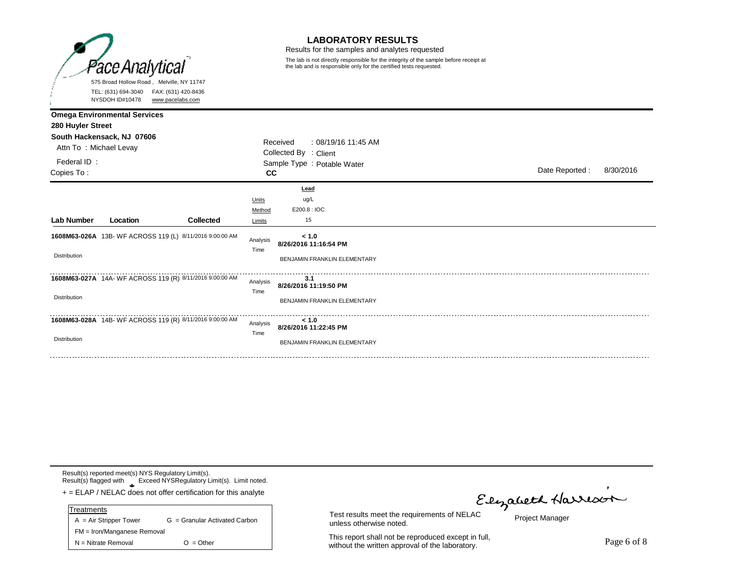

Results for the samples and analytes requested

The lab is not directly responsible for the integrity of the sample before receipt at the lab and is responsible only for the certified tests requested.

|                                                                          | NYSDOH ID#10478                                                   | www.pacelabs.com                                         |                  |                                                                                           |                |           |
|--------------------------------------------------------------------------|-------------------------------------------------------------------|----------------------------------------------------------|------------------|-------------------------------------------------------------------------------------------|----------------|-----------|
| 280 Huyler Street<br>Attn To: Michael Levay<br>Federal ID:<br>Copies To: | <b>Omega Environmental Services</b><br>South Hackensack, NJ 07606 |                                                          | <b>CC</b>        | $: 08/19/16$ 11:45 AM<br>Received<br>Collected By : Client<br>Sample Type : Potable Water | Date Reported: | 8/30/2016 |
|                                                                          |                                                                   |                                                          | Units<br>Method  | Lead<br>ug/L<br>E200.8 : IOC                                                              |                |           |
| Lab Number                                                               | Location                                                          | <b>Collected</b>                                         | Limits           | 15                                                                                        |                |           |
| <b>Distribution</b>                                                      |                                                                   | 1608M63-026A 13B- WF ACROSS 119 (L) 8/11/2016 9:00:00 AM | Analysis<br>Time | < 1.0<br>8/26/2016 11:16:54 PM<br>BENJAMIN FRANKLIN ELEMENTARY                            |                |           |
|                                                                          |                                                                   | 1608M63-027A 14A-WF ACROSS 119 (R) 8/11/2016 9:00:00 AM  | Analysis<br>Time | 3.1<br>8/26/2016 11:19:50 PM                                                              |                |           |
| <b>Distribution</b>                                                      |                                                                   |                                                          |                  | BENJAMIN FRANKLIN ELEMENTARY                                                              |                |           |
|                                                                          |                                                                   | 1608M63-028A 14B- WF ACROSS 119 (R) 8/11/2016 9:00:00 AM | Analysis<br>Time | < 1.0<br>8/26/2016 11:22:45 PM                                                            |                |           |
| Distribution                                                             |                                                                   |                                                          |                  | BENJAMIN FRANKLIN ELEMENTARY                                                              |                |           |

Result(s) reported meet(s) NYS Regulatory Limit(s). Result(s) flagged with Exceed NYSRegulatory Limit(s). Limit noted.

**\*** + = ELAP / NELAC does not offer certification for this analyte

| Treatments                  |                               |
|-----------------------------|-------------------------------|
| $A = Air Strepper Tower$    | G = Granular Activated Carbon |
| FM = Iron/Manganese Removal |                               |
| $N =$ Nitrate Removal       | $O = Other$                   |

Test results meet the requirements of NELAC<br>Test results meet the requirements of NELAC

Project Manager

This report shall not be reproduced except in full, without the written approval of the laboratory.<br>We without the written approval of the laboratory.

unless otherwise noted.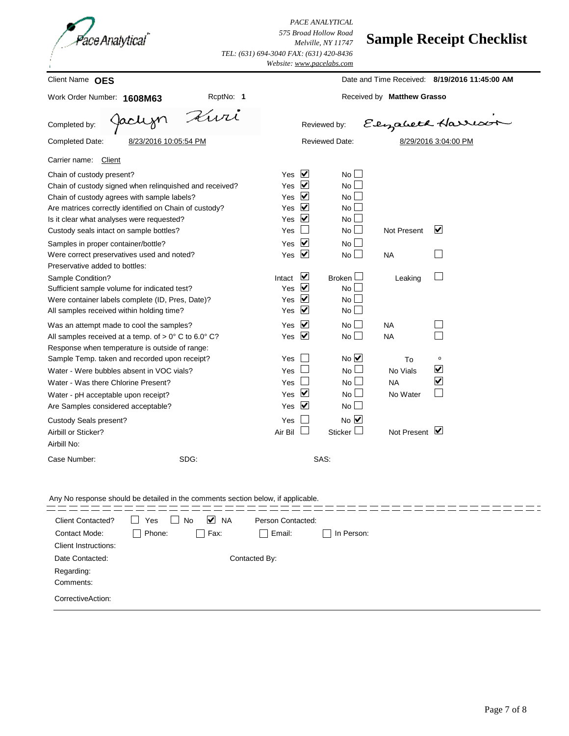

Client Instructions:

*PACE ANALYTICAL 575 Broad Hollow Road Melville, NY 11747 Website: [www.pacelabs.com](http://www.pacelabs.com) TEL: (631) 694-3040 FAX: (631) 420-8436*

# **Sample Receipt Checklist**

| Date and Time Received: 8/19/2016 11:45:00 AM<br>Received by Matthew Grasso<br>Elizabeth Harrison<br>Reviewed by:<br><b>Reviewed Date:</b><br>8/29/2016 3:04:00 PM<br>$\blacktriangledown$<br>$No$ $\Box$<br>Yes<br>⊻<br>$No$ $\Box$<br>Yes<br>⊻<br>Yes<br>No L<br>$\blacktriangledown$<br>$No$ $\Box$<br>Yes<br>⊻<br>$No$ $\Box$<br>Yes<br>$\vert\!\vert\mathbf{v}\vert\!\vert$<br>$No \Box$<br><b>Not Present</b><br>Yes<br>$\blacktriangledown$<br>$No$ $\Box$<br>Yes<br>M<br>$No$ $\Box$<br><b>NA</b><br>Yes<br>V<br>Broken $\Box$<br>Intact<br>Leaking<br>⊻<br>$No$ $\Box$<br>Yes<br>⊻<br>Yes<br>No <sub>1</sub><br>⊻<br>$No$ $\Box$<br>Yes<br>$\blacktriangledown$<br>$No$ $\Box$<br>Yes<br><b>NA</b><br>$\blacktriangledown$<br>$No$ $\Box$<br><b>NA</b><br>Yes<br>No<br>Yes<br>$\mathsf{o}$<br>To<br>☑<br>No $\Box$<br>No Vials<br>Yes<br>$\overline{\blacktriangledown}$<br>No<br>Yes<br><b>NA</b><br>⊻<br>$No \Box$<br>No Water<br>Yes<br>V<br>Yes<br>$No$ $\Box$<br>$No$ $\overline{\vee}$<br>Yes<br>Not Present ■<br>Air Bil<br>Sticker $\Box$<br>SAS:<br>Any No response should be detailed in the comments section below, if applicable. |
|--------------------------------------------------------------------------------------------------------------------------------------------------------------------------------------------------------------------------------------------------------------------------------------------------------------------------------------------------------------------------------------------------------------------------------------------------------------------------------------------------------------------------------------------------------------------------------------------------------------------------------------------------------------------------------------------------------------------------------------------------------------------------------------------------------------------------------------------------------------------------------------------------------------------------------------------------------------------------------------------------------------------------------------------------------------------------------------------------------------------------------------------------------|
|                                                                                                                                                                                                                                                                                                                                                                                                                                                                                                                                                                                                                                                                                                                                                                                                                                                                                                                                                                                                                                                                                                                                                        |
|                                                                                                                                                                                                                                                                                                                                                                                                                                                                                                                                                                                                                                                                                                                                                                                                                                                                                                                                                                                                                                                                                                                                                        |
|                                                                                                                                                                                                                                                                                                                                                                                                                                                                                                                                                                                                                                                                                                                                                                                                                                                                                                                                                                                                                                                                                                                                                        |
|                                                                                                                                                                                                                                                                                                                                                                                                                                                                                                                                                                                                                                                                                                                                                                                                                                                                                                                                                                                                                                                                                                                                                        |
|                                                                                                                                                                                                                                                                                                                                                                                                                                                                                                                                                                                                                                                                                                                                                                                                                                                                                                                                                                                                                                                                                                                                                        |
|                                                                                                                                                                                                                                                                                                                                                                                                                                                                                                                                                                                                                                                                                                                                                                                                                                                                                                                                                                                                                                                                                                                                                        |
|                                                                                                                                                                                                                                                                                                                                                                                                                                                                                                                                                                                                                                                                                                                                                                                                                                                                                                                                                                                                                                                                                                                                                        |
|                                                                                                                                                                                                                                                                                                                                                                                                                                                                                                                                                                                                                                                                                                                                                                                                                                                                                                                                                                                                                                                                                                                                                        |
|                                                                                                                                                                                                                                                                                                                                                                                                                                                                                                                                                                                                                                                                                                                                                                                                                                                                                                                                                                                                                                                                                                                                                        |
|                                                                                                                                                                                                                                                                                                                                                                                                                                                                                                                                                                                                                                                                                                                                                                                                                                                                                                                                                                                                                                                                                                                                                        |
|                                                                                                                                                                                                                                                                                                                                                                                                                                                                                                                                                                                                                                                                                                                                                                                                                                                                                                                                                                                                                                                                                                                                                        |
|                                                                                                                                                                                                                                                                                                                                                                                                                                                                                                                                                                                                                                                                                                                                                                                                                                                                                                                                                                                                                                                                                                                                                        |
|                                                                                                                                                                                                                                                                                                                                                                                                                                                                                                                                                                                                                                                                                                                                                                                                                                                                                                                                                                                                                                                                                                                                                        |
|                                                                                                                                                                                                                                                                                                                                                                                                                                                                                                                                                                                                                                                                                                                                                                                                                                                                                                                                                                                                                                                                                                                                                        |
|                                                                                                                                                                                                                                                                                                                                                                                                                                                                                                                                                                                                                                                                                                                                                                                                                                                                                                                                                                                                                                                                                                                                                        |
|                                                                                                                                                                                                                                                                                                                                                                                                                                                                                                                                                                                                                                                                                                                                                                                                                                                                                                                                                                                                                                                                                                                                                        |
|                                                                                                                                                                                                                                                                                                                                                                                                                                                                                                                                                                                                                                                                                                                                                                                                                                                                                                                                                                                                                                                                                                                                                        |
|                                                                                                                                                                                                                                                                                                                                                                                                                                                                                                                                                                                                                                                                                                                                                                                                                                                                                                                                                                                                                                                                                                                                                        |
|                                                                                                                                                                                                                                                                                                                                                                                                                                                                                                                                                                                                                                                                                                                                                                                                                                                                                                                                                                                                                                                                                                                                                        |
|                                                                                                                                                                                                                                                                                                                                                                                                                                                                                                                                                                                                                                                                                                                                                                                                                                                                                                                                                                                                                                                                                                                                                        |
|                                                                                                                                                                                                                                                                                                                                                                                                                                                                                                                                                                                                                                                                                                                                                                                                                                                                                                                                                                                                                                                                                                                                                        |
|                                                                                                                                                                                                                                                                                                                                                                                                                                                                                                                                                                                                                                                                                                                                                                                                                                                                                                                                                                                                                                                                                                                                                        |
|                                                                                                                                                                                                                                                                                                                                                                                                                                                                                                                                                                                                                                                                                                                                                                                                                                                                                                                                                                                                                                                                                                                                                        |
|                                                                                                                                                                                                                                                                                                                                                                                                                                                                                                                                                                                                                                                                                                                                                                                                                                                                                                                                                                                                                                                                                                                                                        |
|                                                                                                                                                                                                                                                                                                                                                                                                                                                                                                                                                                                                                                                                                                                                                                                                                                                                                                                                                                                                                                                                                                                                                        |
|                                                                                                                                                                                                                                                                                                                                                                                                                                                                                                                                                                                                                                                                                                                                                                                                                                                                                                                                                                                                                                                                                                                                                        |
|                                                                                                                                                                                                                                                                                                                                                                                                                                                                                                                                                                                                                                                                                                                                                                                                                                                                                                                                                                                                                                                                                                                                                        |
|                                                                                                                                                                                                                                                                                                                                                                                                                                                                                                                                                                                                                                                                                                                                                                                                                                                                                                                                                                                                                                                                                                                                                        |
| Person Contacted:                                                                                                                                                                                                                                                                                                                                                                                                                                                                                                                                                                                                                                                                                                                                                                                                                                                                                                                                                                                                                                                                                                                                      |

Date Contacted: Contacted By: Regarding: Comments: CorrectiveAction: